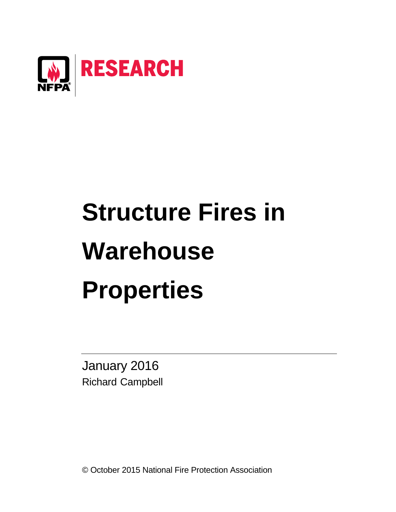

# **Structure Fires in Warehouse Properties**

January 2016 Richard Campbell

© October 2015 National Fire Protection Association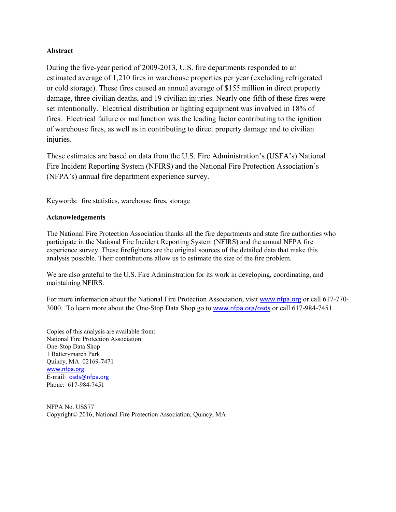#### **Abstract**

During the five-year period of 2009-2013, U.S. fire departments responded to an estimated average of 1,210 fires in warehouse properties per year (excluding refrigerated or cold storage). These fires caused an annual average of \$155 million in direct property damage, three civilian deaths, and 19 civilian injuries. Nearly one-fifth of these fires were set intentionally. Electrical distribution or lighting equipment was involved in 18% of fires. Electrical failure or malfunction was the leading factor contributing to the ignition of warehouse fires, as well as in contributing to direct property damage and to civilian injuries.

These estimates are based on data from the U.S. Fire Administration's (USFA's) National Fire Incident Reporting System (NFIRS) and the National Fire Protection Association's (NFPA's) annual fire department experience survey.

Keywords: fire statistics, warehouse fires, storage

#### **Acknowledgements**

The National Fire Protection Association thanks all the fire departments and state fire authorities who participate in the National Fire Incident Reporting System (NFIRS) and the annual NFPA fire experience survey. These firefighters are the original sources of the detailed data that make this analysis possible. Their contributions allow us to estimate the size of the fire problem.

We are also grateful to the U.S. Fire Administration for its work in developing, coordinating, and maintaining NFIRS.

For more information about the National Fire Protection Association, visit [www.nfpa.org](http://www.nfpa.org/) or call 617-770- 3000. To learn more about the One-Stop Data Shop go to [www.nfpa.org/osds](http://www.nfpa.org/osds) or call 617-984-7451.

Copies of this analysis are available from: National Fire Protection Association One-Stop Data Shop 1 Batterymarch Park Quincy, MA 02169-7471 [www.nfpa.org](http://www.nfpa.org/) E-mail: [osds@nfpa.org](mailto:osds@nfpa.org) Phone: 617-984-7451

NFPA No. USS77 Copyright© 2016, National Fire Protection Association, Quincy, MA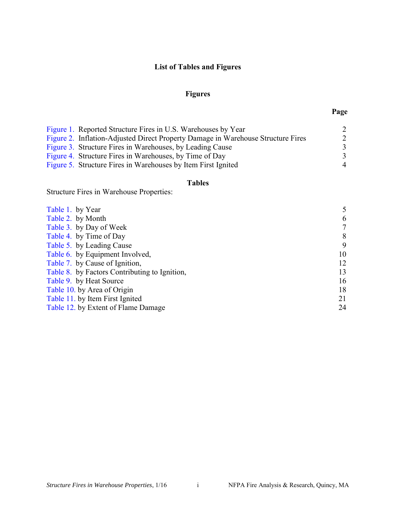## **List of Tables and Figures**

## **Figures**

| Figure 1. Reported Structure Fires in U.S. Warehouses by Year                    | 2              |
|----------------------------------------------------------------------------------|----------------|
| Figure 2. Inflation-Adjusted Direct Property Damage in Warehouse Structure Fires | 2              |
| Figure 3. Structure Fires in Warehouses, by Leading Cause                        | 3              |
| Figure 4. Structure Fires in Warehouses, by Time of Day                          | 3              |
| Figure 5. Structure Fires in Warehouses by Item First Ignited                    | $\overline{4}$ |

## **Tables**

Structure Fires in Warehouse Properties:

| Table 1. by Year                              | 5  |
|-----------------------------------------------|----|
| Table 2. by Month                             | 6  |
| Table 3. by Day of Week                       | 7  |
| Table 4. by Time of Day                       | 8  |
| Table 5. by Leading Cause                     | 9  |
| Table 6. by Equipment Involved,               | 10 |
| Table 7. by Cause of Ignition,                | 12 |
| Table 8. by Factors Contributing to Ignition, | 13 |
| Table 9. by Heat Source                       | 16 |
| Table 10. by Area of Origin                   | 18 |
| Table 11. by Item First Ignited               | 21 |
| Table 12. by Extent of Flame Damage           | 24 |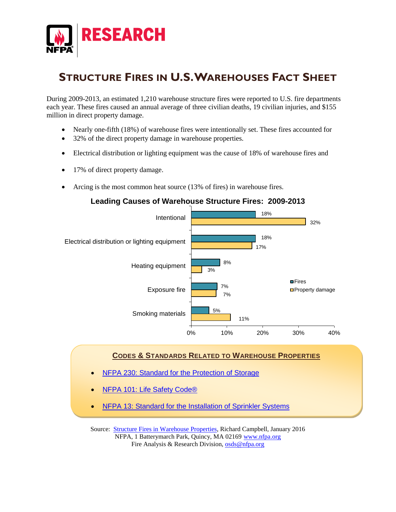

## **STRUCTURE FIRES IN U.S.WAREHOUSES FACT SHEET**

During 2009-2013, an estimated 1,210 warehouse structure fires were reported to U.S. fire departments each year. These fires caused an annual average of three civilian deaths, 19 civilian injuries, and \$155 million in direct property damage.

- Nearly one-fifth (18%) of warehouse fires were intentionally set. These fires accounted for
- 32% of the direct property damage in warehouse properties.
- Electrical distribution or lighting equipment was the cause of 18% of warehouse fires and
- 17% of direct property damage.
- Arcing is the most common heat source (13% of fires) in warehouse fires.

## **Leading Causes of Warehouse Structure Fires: 2009-2013**



#### **CODES & STANDARDS RELATED TO WAREHOUSE PROPERTIES**

- **[NFPA 230: Standard for the Protection of Storage](http://www.nfpa.org/codes-and-standards/document-information-pages?mode=code&code=230)**
- **[NFPA 101: Life Safety Code®](http://www.nfpa.org/codes-and-standards/document-information-pages?mode=code&code=101)**
- [NFPA 13: Standard for the Installation of Sprinkler Systems](http://www.nfpa.org/codes-and-standards/document-information-pages?mode=code&code=13)

Source: [Structure Fires in Warehouse Properties,](http://www.nfpa.org/research/reports-and-statistics/fires-by-property-type/storage) Richard Campbell, January 2016 NFPA, 1 Batterymarch Park, Quincy, MA 02169 [www.nfpa.org](http://www.nfpa.org/) Fire Analysis & Research Division, [osds@nfpa.org](mailto:osds@nfpa.org)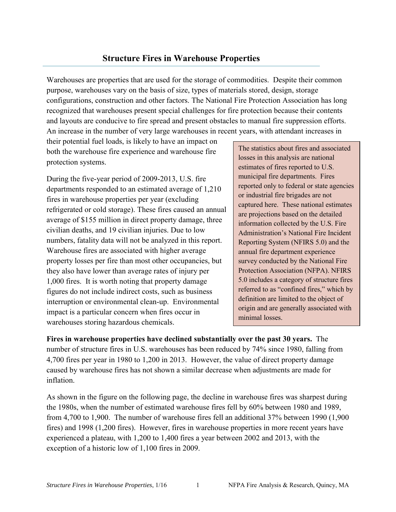## **Structure Fires in Warehouse Properties**

<span id="page-4-0"></span>Warehouses are properties that are used for the storage of commodities. Despite their common purpose, warehouses vary on the basis of size, types of materials stored, design, storage configurations, construction and other factors. The National Fire Protection Association has long recognized that warehouses present special challenges for fire protection because their contents and layouts are conducive to fire spread and present obstacles to manual fire suppression efforts. An increase in the number of very large warehouses in recent years, with attendant increases in

their potential fuel loads, is likely to have an impact on both the warehouse fire experience and warehouse fire protection systems.

During the five-year period of 2009-2013, U.S. fire departments responded to an estimated average of 1,210 fires in warehouse properties per year (excluding refrigerated or cold storage). These fires caused an annual average of \$155 million in direct property damage, three civilian deaths, and 19 civilian injuries. Due to low numbers, fatality data will not be analyzed in this report. Warehouse fires are associated with higher average property losses per fire than most other occupancies, but they also have lower than average rates of injury per 1,000 fires. It is worth noting that property damage figures do not include indirect costs, such as business interruption or environmental clean-up. Environmental impact is a particular concern when fires occur in warehouses storing hazardous chemicals.

The statistics about fires and associated losses in this analysis are national estimates of fires reported to U.S. municipal fire departments. Fires reported only to federal or state agencies or industrial fire brigades are not captured here. These national estimates are projections based on the detailed information collected by the U.S. Fire Administration's National Fire Incident Reporting System (NFIRS 5.0) and the annual fire department experience survey conducted by the National Fire Protection Association (NFPA). NFIRS 5.0 includes a category of structure fires referred to as "confined fires," which by definition are limited to the object of origin and are generally associated with minimal losses.

**Fires in warehouse properties have declined substantially over the past 30 years.** The number of structure fires in U.S. warehouses has been reduced by 74% since 1980, falling from 4,700 fires per year in 1980 to 1,200 in 2013. However, the value of direct property damage caused by warehouse fires has not shown a similar decrease when adjustments are made for inflation.

As shown in the figure on the following page, the decline in warehouse fires was sharpest during the 1980s, when the number of estimated warehouse fires fell by 60% between 1980 and 1989, from 4,700 to 1,900. The number of warehouse fires fell an additional 37% between 1990 (1,900 fires) and 1998 (1,200 fires). However, fires in warehouse properties in more recent years have experienced a plateau, with 1,200 to 1,400 fires a year between 2002 and 2013, with the exception of a historic low of 1,100 fires in 2009.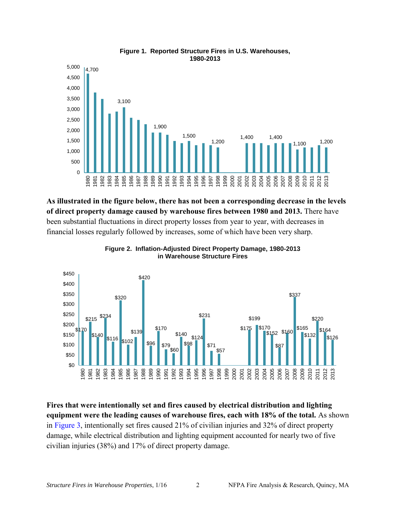<span id="page-5-0"></span>

#### **Figure 1. Reported Structure Fires in U.S. Warehouses, 1980-2013**

**As illustrated in the figure below, there has not been a corresponding decrease in the levels of direct property damage caused by warehouse fires between 1980 and 2013.** There have been substantial fluctuations in direct property losses from year to year, with decreases in financial losses regularly followed by increases, some of which have been very sharp.



**Figure 2. Inflation-Adjusted Direct Property Damage, 1980-2013 in Warehouse Structure Fires**

**Fires that were intentionally set and fires caused by electrical distribution and lighting equipment were the leading causes of warehouse fires, each with 18% of the total.** As shown in [Figure 3,](#page-6-0) intentionally set fires caused 21% of civilian injuries and 32% of direct property damage, while electrical distribution and lighting equipment accounted for nearly two of five civilian injuries (38%) and 17% of direct property damage.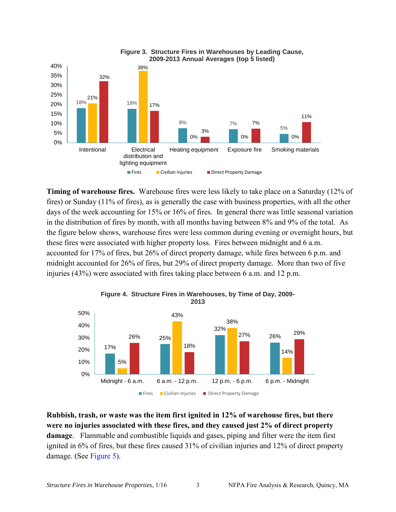<span id="page-6-0"></span>

**Timing of warehouse fires.** Warehouse fires were less likely to take place on a Saturday (12% of fires) or Sunday (11% of fires), as is generally the case with business properties, with all the other days of the week accounting for 15% or 16% of fires. In general there was little seasonal variation in the distribution of fires by month, with all months having between 8% and 9% of the total. As the figure below shows, warehouse fires were less common during evening or overnight hours, but these fires were associated with higher property loss. Fires between midnight and 6 a.m. accounted for 17% of fires, but 26% of direct property damage, while fires between 6 p.m. and midnight accounted for 26% of fires, but 29% of direct property damage. More than two of five injuries (43%) were associated with fires taking place between 6 a.m. and 12 p.m.



**Figure 4. Structure Fires in Warehouses, by Time of Day, 2009- 2013**

**Rubbish, trash, or waste was the item first ignited in 12% of warehouse fires, but there were no injuries associated with these fires, and they caused just 2% of direct property damage**. Flammable and combustible liquids and gases, piping and filter were the item first ignited in 6% of fires, but these fires caused 31% of civilian injuries and 12% of direct property damage. (See [Figure 5\)](#page-4-0).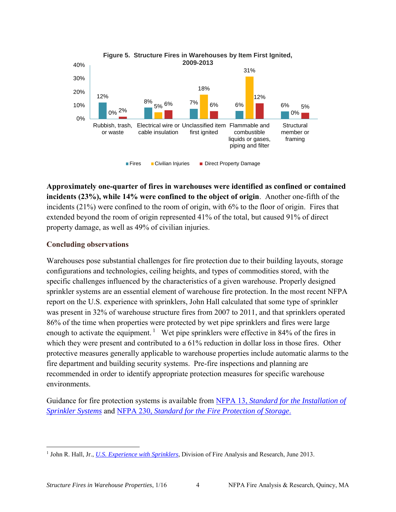<span id="page-7-0"></span>

**Approximately one-quarter of fires in warehouses were identified as confined or contained incidents (23%), while 14% were confined to the object of origin**. Another one-fifth of the incidents (21%) were confined to the room of origin, with 6% to the floor of origin. Fires that extended beyond the room of origin represented 41% of the total, but caused 91% of direct property damage, as well as 49% of civilian injuries.

## **Concluding observations**

Warehouses pose substantial challenges for fire protection due to their building layouts, storage configurations and technologies, ceiling heights, and types of commodities stored, with the specific challenges influenced by the characteristics of a given warehouse. Properly designed sprinkler systems are an essential element of warehouse fire protection. In the most recent NFPA report on the U.S. experience with sprinklers, John Hall calculated that some type of sprinkler was present in 32% of warehouse structure fires from 2007 to 2011, and that sprinklers operated 86% of the time when properties were protected by wet pipe sprinklers and fires were large enough to activate the equipment.<sup>1</sup> Wet pipe sprinklers were effective in 84% of the fires in which they were present and contributed to a  $61\%$  reduction in dollar loss in those fires. Other protective measures generally applicable to warehouse properties include automatic alarms to the fire department and building security systems. Pre-fire inspections and planning are recommended in order to identify appropriate protection measures for specific warehouse environments.

Guidance for fire protection systems is available from NFPA 13, *[Standard for the Installation of](http://www.nfpa.org/aboutthecodes/AboutTheCodes.asp?DocNum=13)  [Sprinkler Systems](http://www.nfpa.org/aboutthecodes/AboutTheCodes.asp?DocNum=13)* and NFPA 230, *[Standard for the Fire Protection of Storage](http://www.nfpa.org/aboutthecodes/AboutTheCodes.asp?DocNum=230)*.

 $\overline{\phantom{a}}$ <sup>1</sup> John R. Hall, Jr., *[U.S. Experience with Sprinklers](http://www.nfpa.org/research/statistical-reports/fire-protection-systems/us-experience-with-sprinklers)*, Division of Fire Analysis and Research, June 2013.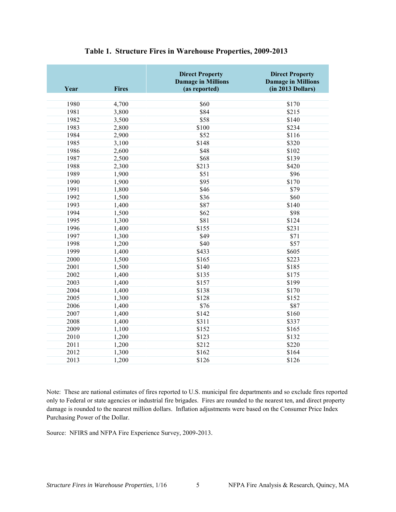<span id="page-8-0"></span>

| Year | <b>Fires</b> | <b>Direct Property</b><br><b>Damage in Millions</b><br>(as reported) | <b>Direct Property</b><br><b>Damage in Millions</b><br>(in 2013 Dollars) |
|------|--------------|----------------------------------------------------------------------|--------------------------------------------------------------------------|
| 1980 | 4,700        | \$60                                                                 | \$170                                                                    |
| 1981 | 3,800        | \$84                                                                 | \$215                                                                    |
| 1982 | 3,500        | \$58                                                                 | \$140                                                                    |
| 1983 | 2,800        | \$100                                                                | \$234                                                                    |
| 1984 | 2,900        | \$52                                                                 | \$116                                                                    |
| 1985 | 3,100        | \$148                                                                | \$320                                                                    |
| 1986 | 2,600        | \$48                                                                 | \$102                                                                    |
| 1987 | 2,500        | \$68                                                                 | \$139                                                                    |
| 1988 | 2,300        | \$213                                                                | \$420                                                                    |
| 1989 | 1,900        | \$51                                                                 | \$96                                                                     |
| 1990 | 1,900        | \$95                                                                 | \$170                                                                    |
| 1991 | 1,800        | \$46                                                                 | \$79                                                                     |
| 1992 | 1,500        | \$36                                                                 | \$60                                                                     |
| 1993 | 1,400        | \$87                                                                 | \$140                                                                    |
| 1994 | 1,500        | \$62                                                                 | \$98                                                                     |
| 1995 | 1,300        | \$81                                                                 | \$124                                                                    |
| 1996 | 1,400        | \$155                                                                | \$231                                                                    |
| 1997 | 1,300        | \$49                                                                 | \$71                                                                     |
| 1998 | 1,200        | \$40                                                                 | \$57                                                                     |
| 1999 | 1,400        | \$433                                                                | \$605                                                                    |
| 2000 | 1,500        | \$165                                                                | \$223                                                                    |
| 2001 | 1,500        | \$140                                                                | \$185                                                                    |
| 2002 | 1,400        | \$135                                                                | \$175                                                                    |
| 2003 | 1,400        | \$157                                                                | \$199                                                                    |
| 2004 | 1,400        | \$138                                                                | \$170                                                                    |
| 2005 | 1,300        | \$128                                                                | \$152                                                                    |
| 2006 | 1,400        | \$76                                                                 | \$87                                                                     |
| 2007 | 1,400        | \$142                                                                | \$160                                                                    |
| 2008 | 1,400        | \$311                                                                | \$337                                                                    |
| 2009 | 1,100        | \$152                                                                | \$165                                                                    |
| 2010 | 1,200        | \$123                                                                | \$132                                                                    |
| 2011 | 1,200        | \$212                                                                | \$220                                                                    |
| 2012 | 1,300        | \$162                                                                | \$164                                                                    |
| 2013 | 1,200        | \$126                                                                | \$126                                                                    |

#### **Table 1. Structure Fires in Warehouse Properties, 2009-2013**

Note: These are national estimates of fires reported to U.S. municipal fire departments and so exclude fires reported only to Federal or state agencies or industrial fire brigades. Fires are rounded to the nearest ten, and direct property damage is rounded to the nearest million dollars. Inflation adjustments were based on the Consumer Price Index Purchasing Power of the Dollar.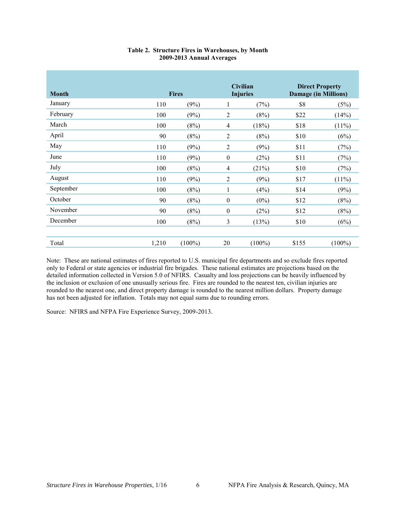<span id="page-9-0"></span>

| <b>Month</b> |       | <b>Fires</b> |                  | <b>Civilian</b><br><b>Injuries</b> | <b>Direct Property</b><br><b>Damage (in Millions)</b> |           |  |
|--------------|-------|--------------|------------------|------------------------------------|-------------------------------------------------------|-----------|--|
| January      | 110   | (9%)         | 1                | (7%)                               | \$8                                                   | (5%)      |  |
| February     | 100   | (9%)         | $\overline{2}$   | (8%)                               | \$22                                                  | (14%)     |  |
| March        | 100   | (8%)         | $\overline{4}$   | (18%)                              | \$18                                                  | $(11\%)$  |  |
| April        | 90    | (8%)         | $\overline{2}$   | (8%)                               | \$10                                                  | (6%)      |  |
| May          | 110   | (9%)         | $\overline{2}$   | (9%)                               | \$11                                                  | (7%)      |  |
| June         | 110   | (9%)         | $\mathbf{0}$     | (2%)                               | \$11                                                  | (7%)      |  |
| July         | 100   | (8%)         | $\overline{4}$   | (21%)                              | \$10                                                  | (7%)      |  |
| August       | 110   | (9%)         | 2                | (9%)                               | \$17                                                  | $(11\%)$  |  |
| September    | 100   | (8%)         | 1                | (4%)                               | \$14                                                  | (9%)      |  |
| October      | 90    | (8%)         | $\mathbf{0}$     | $(0\%)$                            | \$12                                                  | (8%)      |  |
| November     | 90    | (8%)         | $\boldsymbol{0}$ | (2%)                               | \$12                                                  | (8%)      |  |
| December     | 100   | (8%)         | $\overline{3}$   | (13%)                              | \$10                                                  | (6%)      |  |
|              |       |              |                  |                                    |                                                       |           |  |
| Total        | 1,210 | $(100\%)$    | 20               | $(100\%)$                          | \$155                                                 | $(100\%)$ |  |

#### **Table 2. Structure Fires in Warehouses, by Month 2009-2013 Annual Averages**

Note: These are national estimates of fires reported to U.S. municipal fire departments and so exclude fires reported only to Federal or state agencies or industrial fire brigades. These national estimates are projections based on the detailed information collected in Version 5.0 of NFIRS. Casualty and loss projections can be heavily influenced by the inclusion or exclusion of one unusually serious fire. Fires are rounded to the nearest ten, civilian injuries are rounded to the nearest one, and direct property damage is rounded to the nearest million dollars. Property damage has not been adjusted for inflation. Totals may not equal sums due to rounding errors.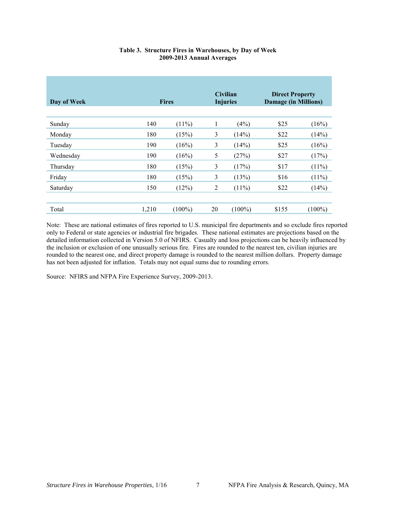<span id="page-10-0"></span>

| Day of Week |       | <b>Fires</b> |                | <b>Civilian</b><br><b>Injuries</b> | <b>Direct Property</b><br><b>Damage (in Millions)</b> |           |
|-------------|-------|--------------|----------------|------------------------------------|-------------------------------------------------------|-----------|
| Sunday      | 140   | $(11\%)$     | 1              | (4%)                               | \$25                                                  | (16%)     |
| Monday      | 180   | (15%)        | 3              | (14%)                              | \$22                                                  | (14%)     |
| Tuesday     | 190   | (16%)        | 3              | (14%)                              | \$25                                                  | (16%)     |
| Wednesday   | 190   | (16%)        | 5              | (27%)                              | \$27                                                  | (17%)     |
| Thursday    | 180   | (15%)        | 3              | (17%)                              | \$17                                                  | $(11\%)$  |
| Friday      | 180   | (15%)        | 3              | (13%)                              | \$16                                                  | $(11\%)$  |
| Saturday    | 150   | (12%)        | $\overline{2}$ | $(11\%)$                           | \$22                                                  | (14%)     |
|             |       |              |                |                                    |                                                       |           |
| Total       | 1,210 | $(100\%)$    | 20             | $(100\%)$                          | \$155                                                 | $(100\%)$ |

#### **Table 3. Structure Fires in Warehouses, by Day of Week 2009-2013 Annual Averages**

Note: These are national estimates of fires reported to U.S. municipal fire departments and so exclude fires reported only to Federal or state agencies or industrial fire brigades. These national estimates are projections based on the detailed information collected in Version 5.0 of NFIRS. Casualty and loss projections can be heavily influenced by the inclusion or exclusion of one unusually serious fire. Fires are rounded to the nearest ten, civilian injuries are rounded to the nearest one, and direct property damage is rounded to the nearest million dollars. Property damage has not been adjusted for inflation. Totals may not equal sums due to rounding errors.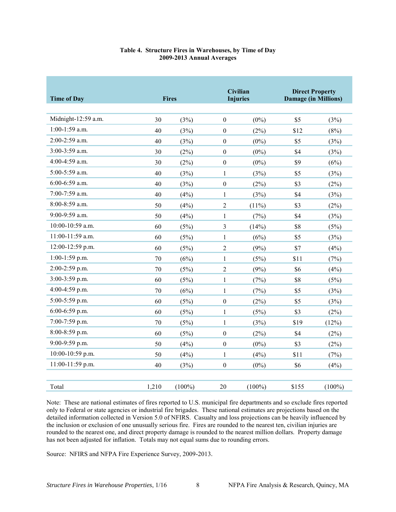#### **Table 4. Structure Fires in Warehouses, by Time of Day 2009-2013 Annual Averages**

<span id="page-11-0"></span>

| <b>Time of Day</b>  |        | <b>Fires</b> |                  | Civilian<br><b>Injuries</b> | <b>Direct Property</b><br><b>Damage (in Millions)</b> |           |
|---------------------|--------|--------------|------------------|-----------------------------|-------------------------------------------------------|-----------|
| Midnight-12:59 a.m. | 30     | (3%)         | $\boldsymbol{0}$ | $(0\%)$                     | \$5                                                   | (3%)      |
| $1:00-1:59$ a.m.    | 40     | (3%)         | $\mathbf{0}$     | (2%)                        | \$12                                                  | (8%)      |
| 2:00-2:59 a.m.      | 40     | (3%)         | $\boldsymbol{0}$ | $(0\%)$                     | \$5                                                   | (3%)      |
| 3:00-3:59 a.m.      | 30     | (2%)         | $\boldsymbol{0}$ | $(0\%)$                     | \$4                                                   | (3%)      |
| 4:00-4:59 a.m.      | 30     | (2%)         | $\boldsymbol{0}$ | $(0\%)$                     | \$9                                                   | (6%)      |
| 5:00-5:59 a.m.      | 40     | (3%)         | $\mathbf{1}$     | (3%)                        | \$5                                                   | (3%)      |
| 6:00-6:59 a.m.      | 40     | (3%)         | $\boldsymbol{0}$ | (2%)                        | \$3                                                   | (2%)      |
| 7:00-7:59 a.m.      | 40     | (4%)         | $\mathbf{1}$     | (3%)                        | \$4                                                   | (3%)      |
| 8:00-8:59 a.m.      | 50     | (4%)         | $\overline{2}$   | $(11\%)$                    | \$3                                                   | (2%)      |
| 9:00-9:59 a.m.      | 50     | (4%)         | $\mathbf{1}$     | (7%)                        | \$4                                                   | (3%)      |
| 10:00-10:59 a.m.    | 60     | (5%)         | $\mathfrak{Z}$   | (14%)                       | \$8                                                   | (5%)      |
| 11:00-11:59 a.m.    | 60     | (5%)         | $\mathbf{1}$     | (6%)                        | \$5                                                   | (3%)      |
| 12:00-12:59 p.m.    | 60     | (5%)         | $\overline{2}$   | (9%)                        | \$7                                                   | (4%)      |
| 1:00-1:59 p.m.      | $70\,$ | (6%)         | $\mathbf{1}$     | (5%)                        | \$11                                                  | (7%)      |
| 2:00-2:59 p.m.      | 70     | (5%)         | $\overline{2}$   | (9%)                        | \$6                                                   | (4%)      |
| $3:00-3:59$ p.m.    | 60     | (5%)         | $\mathbf{1}$     | (7%)                        | \$8                                                   | (5%)      |
| 4:00-4:59 p.m.      | $70\,$ | (6%)         | $\mathbf{1}$     | (7%)                        | \$5                                                   | (3%)      |
| 5:00-5:59 p.m.      | 60     | (5%)         | $\boldsymbol{0}$ | (2%)                        | \$5                                                   | (3%)      |
| 6:00-6:59 p.m.      | 60     | (5%)         | $\mathbf{1}$     | (5%)                        | \$3                                                   | (2%)      |
| 7:00-7:59 p.m.      | 70     | (5%)         | $\mathbf{1}$     | (3%)                        | \$19                                                  | (12%)     |
| 8:00-8:59 p.m.      | 60     | (5%)         | $\boldsymbol{0}$ | (2%)                        | \$4                                                   | (2%)      |
| 9:00-9:59 p.m.      | 50     | (4%)         | $\boldsymbol{0}$ | $(0\%)$                     | \$3                                                   | (2%)      |
| 10:00-10:59 p.m.    | 50     | (4%)         | $\mathbf{1}$     | (4%)                        | \$11                                                  | (7%)      |
| 11:00-11:59 p.m.    | 40     | (3%)         | $\boldsymbol{0}$ | $(0\%)$                     | \$6                                                   | (4%)      |
| Total               | 1,210  | $(100\%)$    | $20\,$           | $(100\%)$                   | \$155                                                 | $(100\%)$ |

Note: These are national estimates of fires reported to U.S. municipal fire departments and so exclude fires reported only to Federal or state agencies or industrial fire brigades. These national estimates are projections based on the detailed information collected in Version 5.0 of NFIRS. Casualty and loss projections can be heavily influenced by the inclusion or exclusion of one unusually serious fire. Fires are rounded to the nearest ten, civilian injuries are rounded to the nearest one, and direct property damage is rounded to the nearest million dollars. Property damage has not been adjusted for inflation. Totals may not equal sums due to rounding errors.

Source: NFIRS and NFPA Fire Experience Survey, 2009-2013.

*Structure Fires in Warehouse Properties*, 1/16 8 NFPA Fire Analysis & Research, Quincy, MA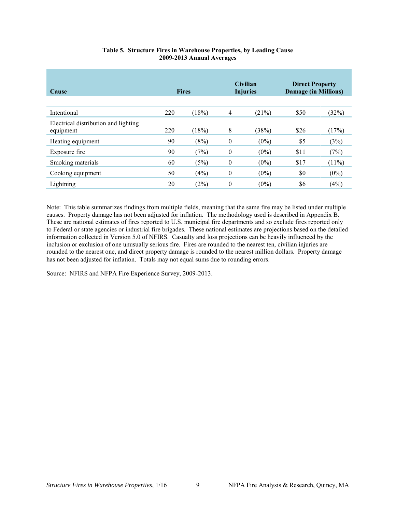<span id="page-12-0"></span>

| Cause                                             | <b>Fires</b> |       |                  | <b>Civilian</b><br><b>Injuries</b> | <b>Direct Property</b><br><b>Damage (in Millions)</b> |          |
|---------------------------------------------------|--------------|-------|------------------|------------------------------------|-------------------------------------------------------|----------|
| Intentional                                       | 220          | (18%) | $\overline{4}$   | (21%)                              | \$50                                                  | (32%)    |
| Electrical distribution and lighting<br>equipment | 220          | (18%) | 8                | (38%)                              | \$26                                                  | (17%)    |
| Heating equipment                                 | 90           | (8%)  | $\boldsymbol{0}$ | $(0\%)$                            | \$5                                                   | (3%)     |
| Exposure fire                                     | 90           | (7%)  | $\theta$         | $(0\%)$                            | \$11                                                  | (7%)     |
| Smoking materials                                 | 60           | (5%)  | $\theta$         | $(0\%)$                            | \$17                                                  | $(11\%)$ |
| Cooking equipment                                 | 50           | (4%)  | $\theta$         | $(0\%)$                            | \$0                                                   | $(0\%)$  |
| Lightning                                         | 20           | (2%)  | $\theta$         | $(0\%)$                            | \$6                                                   | (4%)     |

#### **Table 5. Structure Fires in Warehouse Properties, by Leading Cause 2009-2013 Annual Averages**

Note: This table summarizes findings from multiple fields, meaning that the same fire may be listed under multiple causes. Property damage has not been adjusted for inflation. The methodology used is described in Appendix B. These are national estimates of fires reported to U.S. municipal fire departments and so exclude fires reported only to Federal or state agencies or industrial fire brigades. These national estimates are projections based on the detailed information collected in Version 5.0 of NFIRS. Casualty and loss projections can be heavily influenced by the inclusion or exclusion of one unusually serious fire. Fires are rounded to the nearest ten, civilian injuries are rounded to the nearest one, and direct property damage is rounded to the nearest million dollars. Property damage has not been adjusted for inflation. Totals may not equal sums due to rounding errors.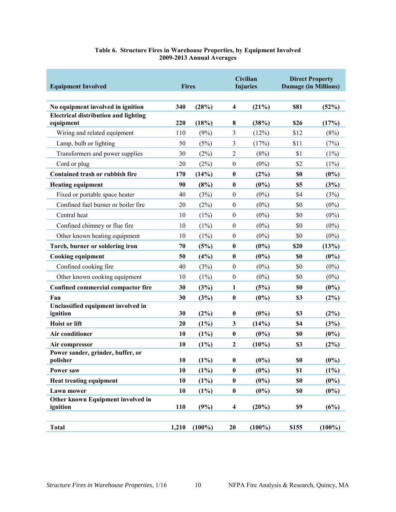<span id="page-13-0"></span>

| <b>Equipment Involved</b>                                                        | <b>Fires</b> |           |                         | Civilian<br><b>Injuries</b> | <b>Direct Property</b><br><b>Damage (in Millions)</b> |           |
|----------------------------------------------------------------------------------|--------------|-----------|-------------------------|-----------------------------|-------------------------------------------------------|-----------|
|                                                                                  |              |           |                         |                             |                                                       |           |
| No equipment involved in ignition<br><b>Electrical distribution and lighting</b> | 340          | (28%)     | $\overline{\mathbf{4}}$ | (21%)                       | <b>\$81</b>                                           | (52%)     |
| equipment                                                                        | 220          | (18%)     | 8                       | (38%)                       | \$26                                                  | (17%)     |
| Wiring and related equipment                                                     | 110          | (9%)      | 3                       | (12%)                       | \$12                                                  | (8%)      |
| Lamp, bulb or lighting                                                           | 50           | (5%)      | 3                       | (17%)                       | \$11                                                  | (7%)      |
| Transformers and power supplies                                                  | 30           | (2%)      | $\overline{2}$          | (8%)                        | \$1                                                   | $(1\%)$   |
| Cord or plug                                                                     | 20           | (2%)      | $\boldsymbol{0}$        | $(0\%)$                     | \$2                                                   | (1%)      |
| Contained trash or rubbish fire                                                  | 170          | (14%)     | $\bf{0}$                | (2%)                        | \$0                                                   | $(0\%)$   |
| <b>Heating equipment</b>                                                         | 90           | (8%)      | $\bf{0}$                | $(0\%)$                     | \$5                                                   | (3%)      |
| Fixed or portable space heater                                                   | 40           | (3%)      | $\boldsymbol{0}$        | $(0\%)$                     | \$4                                                   | (3%)      |
| Confined fuel burner or boiler fire                                              | 20           | (2%)      | $\boldsymbol{0}$        | $(0\%)$                     | \$0                                                   | $(0\%)$   |
| Central heat                                                                     | 10           | $(1\%)$   | $\boldsymbol{0}$        | $(0\%)$                     | \$0                                                   | $(0\%)$   |
| Confined chimney or flue fire                                                    | 10           | $(1\%)$   | $\boldsymbol{0}$        | $(0\%)$                     | \$0                                                   | $(0\%)$   |
| Other known heating equipment                                                    | 10           | (1%)      | $\boldsymbol{0}$        | $(0\%)$                     | \$0                                                   | $(0\%)$   |
| Torch, burner or soldering iron                                                  | 70           | (5%)      | $\bf{0}$                | $(0\%)$                     | \$20                                                  | (13%)     |
| <b>Cooking equipment</b>                                                         | 50           | $(4\%)$   | $\bf{0}$                | $(0\%)$                     | \$0                                                   | $(0\%)$   |
| Confined cooking fire                                                            | 40           | (3%)      | $\boldsymbol{0}$        | $(0\%)$                     | \$0                                                   | $(0\%)$   |
| Other known cooking equipment                                                    | 10           | (1%)      | $\boldsymbol{0}$        | $(0\%)$                     | \$0                                                   | $(0\%)$   |
| Confined commercial compactor fire                                               | 30           | (3%)      | 1                       | (5%)                        | \$0                                                   | $(0\%)$   |
| Fan                                                                              | 30           | (3%)      | $\bf{0}$                | $(0\%)$                     | \$3                                                   | (2%)      |
| Unclassified equipment involved in                                               |              |           |                         |                             |                                                       |           |
| ignition                                                                         | 30           | $(2\%)$   | $\bf{0}$                | $(0\%)$                     | \$3                                                   | (2%)      |
| <b>Hoist or lift</b>                                                             | 20           | $(1\%)$   | 3                       | (14%)                       | \$4                                                   | (3%)      |
| Air conditioner                                                                  | 10           | $(1\%)$   | $\bf{0}$                | $(0\%)$                     | \$0                                                   | $(0\%)$   |
| Air compressor<br>Power sander, grinder, buffer, or                              | 10           | $(1\%)$   | $\mathbf{2}$            | $(10\%)$                    | \$3                                                   | $(2\%)$   |
| polisher                                                                         | 10           | $(1\%)$   | $\pmb{0}$               | $(0\%)$                     | \$0                                                   | $(0\%)$   |
| Power saw                                                                        | 10           | $(1\%)$   | $\bf{0}$                | $(0\%)$                     | \$1                                                   | $(1\%)$   |
| <b>Heat treating equipment</b>                                                   | 10           | $(1\%)$   | $\bf{0}$                | $(0\%)$                     | \$0                                                   | $(0\%)$   |
| Lawn mower                                                                       | 10           | $(1\%)$   | $\pmb{0}$               | $(0\%)$                     | \$0                                                   | $(0\%)$   |
| Other known Equipment involved in                                                |              |           |                         |                             |                                                       |           |
| ignition                                                                         | 110          | (9%)      | $\overline{\mathbf{4}}$ | (20%)                       | \$9                                                   | (6%)      |
| <b>Total</b>                                                                     | 1,210        | $(100\%)$ | 20                      | $(100\%)$                   | \$155                                                 | $(100\%)$ |
|                                                                                  |              |           |                         |                             |                                                       |           |

#### **Table 6. Structure Fires in Warehouse Properties, by Equipment Involved 2009-2013 Annual Averages**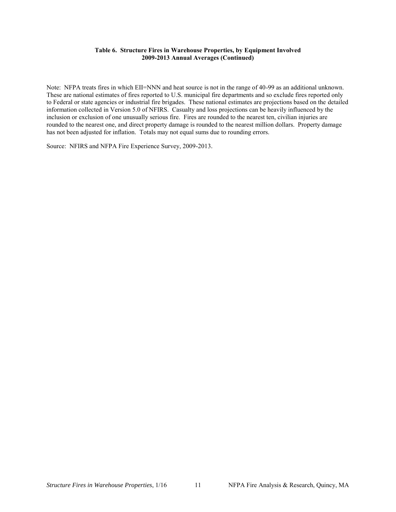#### **Table 6. Structure Fires in Warehouse Properties, by Equipment Involved 2009-2013 Annual Averages (Continued)**

Note: NFPA treats fires in which EII=NNN and heat source is not in the range of 40-99 as an additional unknown. These are national estimates of fires reported to U.S. municipal fire departments and so exclude fires reported only to Federal or state agencies or industrial fire brigades. These national estimates are projections based on the detailed information collected in Version 5.0 of NFIRS. Casualty and loss projections can be heavily influenced by the inclusion or exclusion of one unusually serious fire. Fires are rounded to the nearest ten, civilian injuries are rounded to the nearest one, and direct property damage is rounded to the nearest million dollars. Property damage has not been adjusted for inflation. Totals may not equal sums due to rounding errors.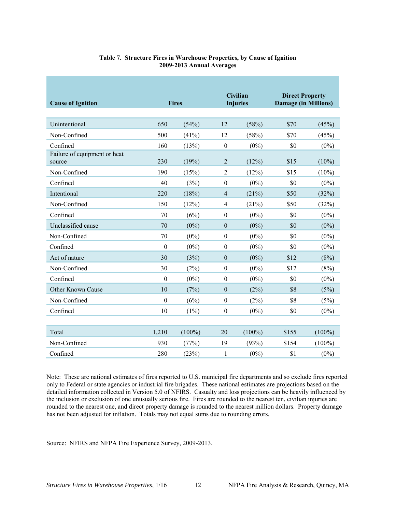<span id="page-15-0"></span>

| <b>Cause of Ignition</b>               |                  |           | <b>Civilian</b><br><b>Fires</b><br><b>Injuries</b> |           | <b>Direct Property</b><br><b>Damage (in Millions)</b> |           |
|----------------------------------------|------------------|-----------|----------------------------------------------------|-----------|-------------------------------------------------------|-----------|
|                                        |                  |           |                                                    |           |                                                       |           |
| Unintentional                          | 650              | (54%)     | 12                                                 | (58%)     | \$70                                                  | (45%)     |
| Non-Confined                           | 500              | $(41\%)$  | 12                                                 | (58%)     | \$70                                                  | (45%)     |
| Confined                               | 160              | (13%)     | $\boldsymbol{0}$                                   | $(0\%)$   | \$0                                                   | $(0\%)$   |
| Failure of equipment or heat<br>source | 230              | (19%)     | $\overline{2}$                                     | (12%)     | \$15                                                  | $(10\%)$  |
| Non-Confined                           | 190              | (15%)     | $\overline{2}$                                     | (12%)     | \$15                                                  | $(10\%)$  |
| Confined                               | 40               | (3%)      | $\mathbf{0}$                                       | $(0\%)$   | \$0                                                   | $(0\%)$   |
| Intentional                            | 220              | (18%)     | $\overline{4}$                                     | (21%)     | \$50                                                  | (32%)     |
| Non-Confined                           | 150              | (12%)     | $\overline{4}$                                     | (21%)     | \$50                                                  | (32%)     |
| Confined                               | 70               | (6%)      | $\boldsymbol{0}$                                   | $(0\%)$   | \$0                                                   | $(0\%)$   |
| Unclassified cause                     | 70               | $(0\%)$   | $\boldsymbol{0}$                                   | $(0\%)$   | \$0                                                   | $(0\%)$   |
| Non-Confined                           | 70               | $(0\%)$   | $\boldsymbol{0}$                                   | $(0\%)$   | \$0                                                   | $(0\%)$   |
| Confined                               | $\boldsymbol{0}$ | $(0\%)$   | $\boldsymbol{0}$                                   | $(0\%)$   | \$0                                                   | $(0\%)$   |
| Act of nature                          | 30               | (3%)      | $\boldsymbol{0}$                                   | $(0\%)$   | \$12                                                  | (8%)      |
| Non-Confined                           | 30               | (2%)      | $\boldsymbol{0}$                                   | $(0\%)$   | \$12                                                  | (8%)      |
| Confined                               | $\boldsymbol{0}$ | $(0\%)$   | $\boldsymbol{0}$                                   | $(0\%)$   | \$0                                                   | $(0\%)$   |
| <b>Other Known Cause</b>               | 10               | (7%)      | $\boldsymbol{0}$                                   | (2%)      | \$8                                                   | (5%)      |
| Non-Confined                           | $\boldsymbol{0}$ | (6%)      | $\boldsymbol{0}$                                   | (2%)      | \$8                                                   | (5%)      |
| Confined                               | 10               | $(1\%)$   | $\boldsymbol{0}$                                   | $(0\%)$   | \$0                                                   | $(0\%)$   |
|                                        |                  |           |                                                    |           |                                                       |           |
| Total                                  | 1,210            | $(100\%)$ | 20                                                 | $(100\%)$ | \$155                                                 | $(100\%)$ |
| Non-Confined                           | 930              | (77%)     | 19                                                 | (93%)     | \$154                                                 | $(100\%)$ |
| Confined                               | 280              | (23%)     | 1                                                  | $(0\%)$   | \$1                                                   | $(0\%)$   |

#### **Table 7. Structure Fires in Warehouse Properties, by Cause of Ignition 2009-2013 Annual Averages**

Note: These are national estimates of fires reported to U.S. municipal fire departments and so exclude fires reported only to Federal or state agencies or industrial fire brigades. These national estimates are projections based on the detailed information collected in Version 5.0 of NFIRS. Casualty and loss projections can be heavily influenced by the inclusion or exclusion of one unusually serious fire. Fires are rounded to the nearest ten, civilian injuries are rounded to the nearest one, and direct property damage is rounded to the nearest million dollars. Property damage has not been adjusted for inflation. Totals may not equal sums due to rounding errors.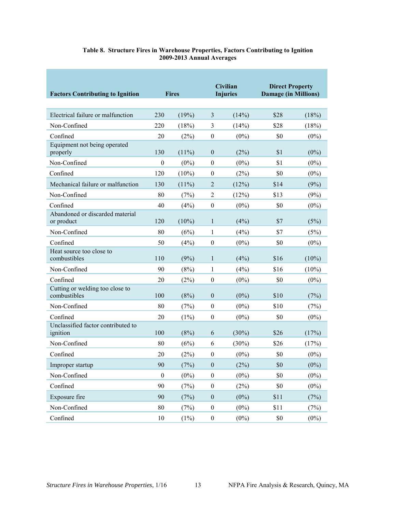<span id="page-16-0"></span>

| <b>Factors Contributing to Ignition</b>         | <b>Fires</b>     |          |                  | <b>Civilian</b><br><b>Injuries</b> | <b>Direct Property</b><br><b>Damage (in Millions)</b> |          |
|-------------------------------------------------|------------------|----------|------------------|------------------------------------|-------------------------------------------------------|----------|
| Electrical failure or malfunction               | 230              | (19%)    | 3                | (14%)                              | \$28                                                  | (18%)    |
| Non-Confined                                    | 220              | (18%)    | 3                | (14%)                              | \$28                                                  | (18%)    |
| Confined                                        | 20               | (2%)     | $\theta$         | $(0\%)$                            | \$0                                                   | $(0\%)$  |
| Equipment not being operated<br>properly        | 130              | $(11\%)$ | $\boldsymbol{0}$ | (2%)                               | \$1                                                   | $(0\%)$  |
| Non-Confined                                    | $\boldsymbol{0}$ | $(0\%)$  | $\mathbf{0}$     | $(0\%)$                            | \$1                                                   | $(0\%)$  |
| Confined                                        | 120              | $(10\%)$ | $\theta$         | (2%)                               | \$0                                                   | $(0\%)$  |
| Mechanical failure or malfunction               | 130              | $(11\%)$ | $\overline{2}$   | (12%)                              | \$14                                                  | (9%)     |
| Non-Confined                                    | 80               | (7%)     | 2                | (12%)                              | \$13                                                  | (9%)     |
| Confined                                        | 40               | (4%)     | $\theta$         | $(0\%)$                            | \$0                                                   | $(0\%)$  |
| Abandoned or discarded material<br>or product   | 120              | $(10\%)$ | 1                | (4%)                               | \$7                                                   | (5%)     |
| Non-Confined                                    | 80               | (6%)     | 1                | (4%)                               | \$7                                                   | (5%)     |
| Confined                                        | 50               | (4%)     | $\theta$         | $(0\%)$                            | \$0                                                   | $(0\%)$  |
| Heat source too close to<br>combustibles        | 110              | (9%)     | 1                | (4%)                               | \$16                                                  | $(10\%)$ |
| Non-Confined                                    | 90               | (8%)     | 1                | (4%)                               | \$16                                                  | $(10\%)$ |
| Confined                                        | 20               | (2%)     | $\boldsymbol{0}$ | $(0\%)$                            | \$0                                                   | $(0\%)$  |
| Cutting or welding too close to<br>combustibles | 100              | (8%)     | $\boldsymbol{0}$ | $(0\%)$                            | \$10                                                  | (7%)     |
| Non-Confined                                    | 80               | (7%)     | $\mathbf{0}$     | $(0\%)$                            | \$10                                                  | (7%)     |
| Confined                                        | 20               | $(1\%)$  | $\theta$         | $(0\%)$                            | \$0                                                   | $(0\%)$  |
| Unclassified factor contributed to<br>ignition  | 100              | (8%)     | 6                | $(30\%)$                           | \$26                                                  | (17%)    |
| Non-Confined                                    | 80               | (6%)     | 6                | $(30\%)$                           | \$26                                                  | (17%)    |
| Confined                                        | 20               | (2%)     | $\boldsymbol{0}$ | $(0\%)$                            | \$0                                                   | $(0\%)$  |
| Improper startup                                | 90               | (7%)     | $\boldsymbol{0}$ | (2%)                               | \$0                                                   | $(0\%)$  |
| Non-Confined                                    | $\boldsymbol{0}$ | $(0\%)$  | $\boldsymbol{0}$ | $(0\%)$                            | \$0                                                   | $(0\%)$  |
| Confined                                        | 90               | (7%)     | $\boldsymbol{0}$ | (2%)                               | \$0                                                   | $(0\%)$  |
| Exposure fire                                   | 90               | (7%)     | $\boldsymbol{0}$ | $(0\%)$                            | \$11                                                  | (7%)     |
| Non-Confined                                    | 80               | (7%)     | $\boldsymbol{0}$ | $(0\%)$                            | \$11                                                  | (7%)     |
| Confined                                        | 10               | (1%)     | $\boldsymbol{0}$ | $(0\%)$                            | $\$0$                                                 | $(0\%)$  |

#### **Table 8. Structure Fires in Warehouse Properties, Factors Contributing to Ignition 2009-2013 Annual Averages**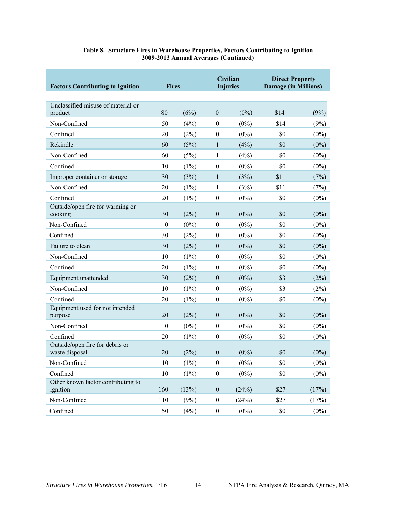| <b>Factors Contributing to Ignition</b>           | <b>Fires</b>     |         |                  | <b>Civilian</b><br><b>Injuries</b> | <b>Direct Property</b><br><b>Damage (in Millions)</b> |         |
|---------------------------------------------------|------------------|---------|------------------|------------------------------------|-------------------------------------------------------|---------|
| Unclassified misuse of material or<br>product     | 80               | (6%)    | $\boldsymbol{0}$ | $(0\%)$                            | \$14                                                  | (9%)    |
| Non-Confined                                      | 50               | (4%)    | $\boldsymbol{0}$ | $(0\%)$                            | \$14                                                  | (9%)    |
| Confined                                          | 20               | (2%)    | $\boldsymbol{0}$ | $(0\%)$                            | \$0                                                   | $(0\%)$ |
| Rekindle                                          | 60               | (5%)    | 1                | (4%)                               | \$0                                                   | $(0\%)$ |
| Non-Confined                                      | 60               | (5%)    | 1                | (4%)                               | \$0                                                   | $(0\%)$ |
| Confined                                          | 10               | (1%)    | $\boldsymbol{0}$ | $(0\%)$                            | \$0                                                   | $(0\%)$ |
| Improper container or storage                     | 30               | (3%)    | 1                | (3%)                               | \$11                                                  | (7%)    |
| Non-Confined                                      | 20               | (1%)    | 1                | (3%)                               | \$11                                                  | (7%)    |
| Confined                                          | 20               | (1%)    | $\boldsymbol{0}$ | $(0\%)$                            | \$0                                                   | $(0\%)$ |
| Outside/open fire for warming or<br>cooking       | 30               | (2%)    | $\theta$         | $(0\%)$                            | \$0                                                   | $(0\%)$ |
| Non-Confined                                      | $\boldsymbol{0}$ | $(0\%)$ | $\boldsymbol{0}$ | $(0\%)$                            | \$0                                                   | $(0\%)$ |
| Confined                                          | 30               | (2%)    | $\theta$         | $(0\%)$                            | \$0                                                   | $(0\%)$ |
| Failure to clean                                  | 30               | (2%)    | $\mathbf{0}$     | $(0\%)$                            | \$0                                                   | $(0\%)$ |
| Non-Confined                                      | 10               | $(1\%)$ | $\boldsymbol{0}$ | $(0\%)$                            | \$0                                                   | $(0\%)$ |
| Confined                                          | 20               | (1%)    | $\boldsymbol{0}$ | $(0\%)$                            | \$0                                                   | $(0\%)$ |
| Equipment unattended                              | 30               | (2%)    | $\mathbf{0}$     | $(0\%)$                            | \$3                                                   | (2%)    |
| Non-Confined                                      | 10               | (1%)    | $\mathbf{0}$     | $(0\%)$                            | \$3                                                   | (2%)    |
| Confined                                          | 20               | (1%)    | $\theta$         | $(0\%)$                            | \$0                                                   | $(0\%)$ |
| Equipment used for not intended<br>purpose        | 20               | (2%)    | $\theta$         | $(0\%)$                            | \$0                                                   | $(0\%)$ |
| Non-Confined                                      | $\boldsymbol{0}$ | $(0\%)$ | $\boldsymbol{0}$ | $(0\%)$                            | \$0                                                   | $(0\%)$ |
| Confined                                          | 20               | (1%)    | $\theta$         | $(0\%)$                            | \$0                                                   | $(0\%)$ |
| Outside/open fire for debris or<br>waste disposal | 20               | (2%)    | $\mathbf{0}$     | $(0\%)$                            | \$0                                                   | $(0\%)$ |
| Non-Confined                                      | $10\,$           | $(1\%)$ | $\boldsymbol{0}$ | $(0\%)$                            | \$0                                                   | $(0\%)$ |
| Confined                                          | 10               | $(1\%)$ | $\boldsymbol{0}$ | $(0\%)$                            | \$0                                                   | $(0\%)$ |
| Other known factor contributing to<br>ignition    | 160              | (13%)   | $\boldsymbol{0}$ | (24%)                              | \$27                                                  | (17%)   |
| Non-Confined                                      | $110\,$          | (9%)    | $\boldsymbol{0}$ | (24%)                              | \$27                                                  | (17%)   |
| Confined                                          | $50\,$           | (4%)    | $\boldsymbol{0}$ | $(0\%)$                            | \$0                                                   | $(0\%)$ |

#### **Table 8. Structure Fires in Warehouse Properties, Factors Contributing to Ignition 2009-2013 Annual Averages (Continued)**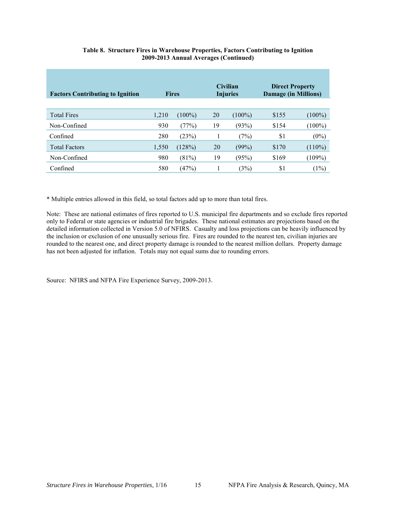| <b>Factors Contributing to Ignition</b> | <b>Fires</b> |           |    |           |       | <b>Civilian</b><br><b>Injuries</b> | <b>Direct Property</b><br><b>Damage (in Millions)</b> |  |
|-----------------------------------------|--------------|-----------|----|-----------|-------|------------------------------------|-------------------------------------------------------|--|
| <b>Total Fires</b>                      | 1,210        | $(100\%)$ | 20 | $(100\%)$ | \$155 | $(100\%)$                          |                                                       |  |
| Non-Confined                            | 930          | (77%)     | 19 | (93%)     | \$154 | $(100\%)$                          |                                                       |  |
| Confined                                | 280          | (23%)     | 1  | (7%)      | \$1   | $(0\%)$                            |                                                       |  |
| <b>Total Factors</b>                    | 1,550        | (128%)    | 20 | (99%)     | \$170 | $(110\%)$                          |                                                       |  |
| Non-Confined                            | 980          | (81%)     | 19 | (95%)     | \$169 | $(109\%)$                          |                                                       |  |
| Confined                                | 580          | (47%)     |    | (3%)      | \$1   | (1%)                               |                                                       |  |

#### **Table 8. Structure Fires in Warehouse Properties, Factors Contributing to Ignition 2009-2013 Annual Averages (Continued)**

\* Multiple entries allowed in this field, so total factors add up to more than total fires.

Note: These are national estimates of fires reported to U.S. municipal fire departments and so exclude fires reported only to Federal or state agencies or industrial fire brigades. These national estimates are projections based on the detailed information collected in Version 5.0 of NFIRS. Casualty and loss projections can be heavily influenced by the inclusion or exclusion of one unusually serious fire. Fires are rounded to the nearest ten, civilian injuries are rounded to the nearest one, and direct property damage is rounded to the nearest million dollars. Property damage has not been adjusted for inflation. Totals may not equal sums due to rounding errors.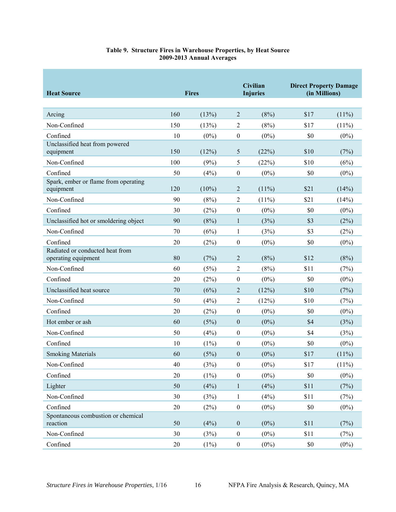<span id="page-19-0"></span>

| <b>Heat Source</b>                                     |     | <b>Fires</b> |                  | <b>Civilian</b><br><b>Injuries</b> | <b>Direct Property Damage</b><br>(in Millions) |          |
|--------------------------------------------------------|-----|--------------|------------------|------------------------------------|------------------------------------------------|----------|
| Arcing                                                 | 160 | (13%)        | $\overline{2}$   | (8%)                               | \$17                                           | $(11\%)$ |
| Non-Confined                                           | 150 | (13%)        | $\overline{2}$   | (8%)                               | \$17                                           | $(11\%)$ |
| Confined                                               | 10  | $(0\%)$      | $\boldsymbol{0}$ | $(0\%)$                            | \$0                                            | $(0\%)$  |
| Unclassified heat from powered<br>equipment            | 150 | (12%)        | 5                | (22%)                              | \$10                                           | (7%)     |
| Non-Confined                                           | 100 | (9%)         | 5                | (22%)                              | \$10                                           | (6%)     |
| Confined                                               | 50  | (4%)         | $\boldsymbol{0}$ | $(0\%)$                            | \$0                                            | $(0\%)$  |
| Spark, ember or flame from operating<br>equipment      | 120 | $(10\%)$     | $\overline{2}$   | $(11\%)$                           | \$21                                           | (14%)    |
| Non-Confined                                           | 90  | (8%)         | $\overline{2}$   | $(11\%)$                           | \$21                                           | (14%)    |
| Confined                                               | 30  | (2%)         | $\theta$         | $(0\%)$                            | \$0                                            | $(0\%)$  |
| Unclassified hot or smoldering object                  | 90  | (8%)         | 1                | (3%)                               | \$3                                            | (2%)     |
| Non-Confined                                           | 70  | (6%)         | 1                | (3%)                               | \$3                                            | (2%)     |
| Confined                                               | 20  | (2%)         | $\boldsymbol{0}$ | $(0\%)$                            | \$0                                            | $(0\%)$  |
| Radiated or conducted heat from<br>operating equipment | 80  | (7%)         | $\overline{2}$   | (8%)                               | \$12                                           | (8%)     |
| Non-Confined                                           | 60  | (5%)         | $\overline{2}$   | (8%)                               | \$11                                           | (7%)     |
| Confined                                               | 20  | (2%)         | $\theta$         | $(0\%)$                            | \$0                                            | $(0\%)$  |
| Unclassified heat source                               | 70  | (6%)         | $\overline{2}$   | (12%)                              | \$10                                           | (7%)     |
| Non-Confined                                           | 50  | (4%)         | $\overline{2}$   | (12%)                              | \$10                                           | (7%)     |
| Confined                                               | 20  | (2%)         | $\boldsymbol{0}$ | $(0\%)$                            | \$0                                            | $(0\%)$  |
| Hot ember or ash                                       | 60  | (5%)         | $\boldsymbol{0}$ | $(0\%)$                            | \$4                                            | (3%)     |
| Non-Confined                                           | 50  | (4%)         | $\boldsymbol{0}$ | $(0\%)$                            | \$4                                            | (3%)     |
| Confined                                               | 10  | (1%)         | $\theta$         | $(0\%)$                            | \$0                                            | $(0\%)$  |
| <b>Smoking Materials</b>                               | 60  | (5%)         | $\mathbf{0}$     | $(0\%)$                            | \$17                                           | $(11\%)$ |
| Non-Confined                                           | 40  | (3%)         | $\boldsymbol{0}$ | $(0\%)$                            | \$17                                           | $(11\%)$ |
| Confined                                               | 20  | $(1\%)$      | $\boldsymbol{0}$ | $(0\%)$                            | \$0                                            | $(0\%)$  |
| Lighter                                                | 50  | (4%)         | $\mathbf{1}$     | (4%)                               | \$11                                           | (7%)     |
| Non-Confined                                           | 30  | (3%)         | $\mathbf{1}$     | (4%)                               | \$11                                           | (7%)     |
| Confined                                               | 20  | (2%)         | $\boldsymbol{0}$ | $(0\%)$                            | \$0                                            | $(0\%)$  |
| Spontaneous combustion or chemical<br>reaction         | 50  | (4%)         | $\boldsymbol{0}$ | $(0\%)$                            | \$11                                           | (7%)     |
| Non-Confined                                           | 30  | (3%)         | $\boldsymbol{0}$ | $(0\%)$                            | \$11                                           | (7%)     |
| Confined                                               | 20  | $(1\%)$      | $\boldsymbol{0}$ | $(0\%)$                            | $\$0$                                          | $(0\%)$  |

#### **Table 9. Structure Fires in Warehouse Properties, by Heat Source 2009-2013 Annual Averages**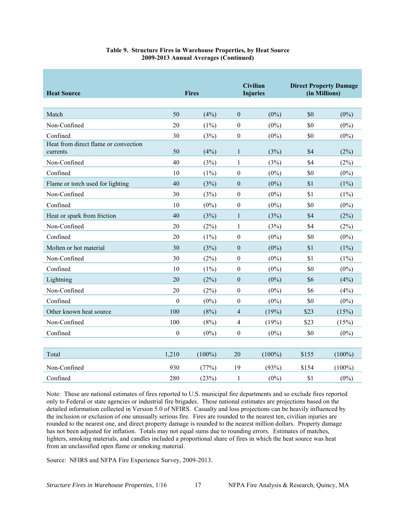| <b>Heat Source</b>                               |                  | <b>Fires</b> |                  | <b>Civilian</b><br><b>Injuries</b> |       | <b>Direct Property Damage</b><br>(in Millions) |
|--------------------------------------------------|------------------|--------------|------------------|------------------------------------|-------|------------------------------------------------|
| Match                                            | 50               | (4%)         | $\mathbf{0}$     | $(0\%)$                            | \$0   | $(0\%)$                                        |
| Non-Confined                                     | 20               | $(1\%)$      | $\boldsymbol{0}$ | $(0\%)$                            | \$0   | $(0\%)$                                        |
| Confined                                         | 30               | (3%)         | $\boldsymbol{0}$ | $(0\%)$                            | \$0   | $(0\%)$                                        |
| Heat from direct flame or convection<br>currents | 50               | (4%)         | 1                | (3%)                               | \$4   | (2%)                                           |
| Non-Confined                                     | 40               | (3%)         | 1                | (3%)                               | \$4   | (2%)                                           |
| Confined                                         | 10               | $(1\%)$      | $\boldsymbol{0}$ | $(0\%)$                            | \$0   | $(0\%)$                                        |
| Flame or torch used for lighting                 | 40               | (3%)         | $\boldsymbol{0}$ | $(0\%)$                            | \$1   | $(1\%)$                                        |
| Non-Confined                                     | 30               | (3%)         | $\boldsymbol{0}$ | $(0\%)$                            | \$1   | $(1\%)$                                        |
| Confined                                         | 10               | $(0\%)$      | $\boldsymbol{0}$ | $(0\%)$                            | \$0   | $(0\%)$                                        |
| Heat or spark from friction                      | 40               | (3%)         | 1                | (3%)                               | \$4   | (2%)                                           |
| Non-Confined                                     | 20               | (2%)         | 1                | (3%)                               | \$4   | (2%)                                           |
| Confined                                         | 20               | $(1\%)$      | $\boldsymbol{0}$ | $(0\%)$                            | \$0   | $(0\%)$                                        |
| Molten or hot material                           | 30               | (3%)         | $\mathbf{0}$     | $(0\%)$                            | \$1   | $(1\%)$                                        |
| Non-Confined                                     | 30               | (2%)         | $\boldsymbol{0}$ | $(0\%)$                            | \$1   | $(1\%)$                                        |
| Confined                                         | 10               | $(1\%)$      | $\boldsymbol{0}$ | $(0\%)$                            | \$0   | $(0\%)$                                        |
| Lightning                                        | 20               | (2%)         | $\boldsymbol{0}$ | $(0\%)$                            | \$6   | (4%)                                           |
| Non-Confined                                     | 20               | (2%)         | $\boldsymbol{0}$ | $(0\%)$                            | \$6   | (4%)                                           |
| Confined                                         | $\boldsymbol{0}$ | $(0\%)$      | $\boldsymbol{0}$ | $(0\%)$                            | \$0   | $(0\%)$                                        |
| Other known heat source                          | 100              | (8%)         | $\overline{4}$   | (19%)                              | \$23  | (15%)                                          |
| Non-Confined                                     | 100              | (8%)         | $\overline{4}$   | (19%)                              | \$23  | (15%)                                          |
| Confined                                         | $\boldsymbol{0}$ | $(0\%)$      | $\boldsymbol{0}$ | $(0\%)$                            | \$0   | $(0\%)$                                        |
|                                                  |                  |              |                  |                                    |       |                                                |
| Total                                            | 1,210            | $(100\%)$    | 20               | $(100\%)$                          | \$155 | $(100\%)$                                      |
| Non-Confined                                     | 930              | (77%)        | 19               | (93%)                              | \$154 | $(100\%)$                                      |
| Confined                                         | 280              | (23%)        | $\mathbf{1}$     | $(0\%)$                            | \$1   | $(0\%)$                                        |

#### **Table 9. Structure Fires in Warehouse Properties, by Heat Source 2009-2013 Annual Averages (Continued)**

Note: These are national estimates of fires reported to U.S. municipal fire departments and so exclude fires reported only to Federal or state agencies or industrial fire brigades. These national estimates are projections based on the detailed information collected in Version 5.0 of NFIRS. Casualty and loss projections can be heavily influenced by the inclusion or exclusion of one unusually serious fire. Fires are rounded to the nearest ten, civilian injuries are rounded to the nearest one, and direct property damage is rounded to the nearest million dollars. Property damage has not been adjusted for inflation. Totals may not equal sums due to rounding errors. Estimates of matches, lighters, smoking materials, and candles included a proportional share of fires in which the heat source was heat from an unclassified open flame or smoking material.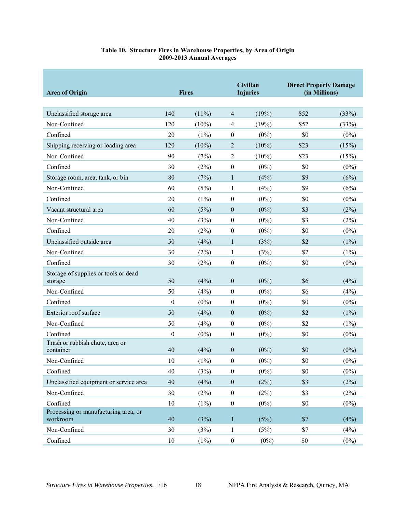<span id="page-21-0"></span>

| <b>Area of Origin</b>                            |                  | <b>Fires</b> |                  | Civilian<br><b>Injuries</b> | <b>Direct Property Damage</b><br>(in Millions) |         |
|--------------------------------------------------|------------------|--------------|------------------|-----------------------------|------------------------------------------------|---------|
| Unclassified storage area                        | 140              | $(11\%)$     | $\overline{4}$   | (19%)                       | \$52                                           | (33%)   |
| Non-Confined                                     | 120              | $(10\%)$     | $\overline{4}$   | (19%)                       | \$52                                           | (33%)   |
| Confined                                         | 20               | $(1\%)$      | $\boldsymbol{0}$ | $(0\%)$                     | \$0                                            | $(0\%)$ |
| Shipping receiving or loading area               | 120              | $(10\%)$     | $\overline{2}$   | $(10\%)$                    | \$23                                           | (15%)   |
| Non-Confined                                     | 90               | (7%)         | $\overline{2}$   | $(10\%)$                    | \$23                                           | (15%)   |
| Confined                                         | 30               | (2%)         | $\boldsymbol{0}$ | $(0\%)$                     | \$0                                            | $(0\%)$ |
| Storage room, area, tank, or bin                 | 80               | (7%)         | $\mathbf{1}$     | (4%)                        | \$9                                            | (6%)    |
| Non-Confined                                     | 60               | (5%)         | $\mathbf{1}$     | (4%)                        | \$9                                            | (6%)    |
| Confined                                         | 20               | $(1\%)$      | $\boldsymbol{0}$ | $(0\%)$                     | \$0                                            | $(0\%)$ |
| Vacant structural area                           | 60               | (5%)         | $\boldsymbol{0}$ | $(0\%)$                     | \$3                                            | (2%)    |
| Non-Confined                                     | 40               | (3%)         | $\boldsymbol{0}$ | $(0\%)$                     | \$3                                            | (2%)    |
| Confined                                         | 20               | (2%)         | $\boldsymbol{0}$ | $(0\%)$                     | \$0                                            | $(0\%)$ |
| Unclassified outside area                        | 50               | (4%)         | $\mathbf{1}$     | (3%)                        | \$2                                            | (1%)    |
| Non-Confined                                     | 30               | (2%)         | 1                | (3%)                        | \$2                                            | $(1\%)$ |
| Confined                                         | 30               | (2%)         | $\boldsymbol{0}$ | $(0\%)$                     | \$0                                            | $(0\%)$ |
| Storage of supplies or tools or dead<br>storage  | 50               | (4%)         | $\boldsymbol{0}$ | $(0\%)$                     | \$6                                            | (4%)    |
| Non-Confined                                     | 50               | (4%)         | $\boldsymbol{0}$ | $(0\%)$                     | \$6                                            | (4%)    |
| Confined                                         | $\boldsymbol{0}$ | $(0\%)$      | $\boldsymbol{0}$ | $(0\%)$                     | \$0                                            | $(0\%)$ |
| Exterior roof surface                            | 50               | (4%)         | $\boldsymbol{0}$ | $(0\%)$                     | \$2                                            | (1%)    |
| Non-Confined                                     | 50               | (4%)         | $\boldsymbol{0}$ | $(0\%)$                     | \$2                                            | $(1\%)$ |
| Confined                                         | $\boldsymbol{0}$ | $(0\%)$      | $\boldsymbol{0}$ | $(0\%)$                     | \$0                                            | $(0\%)$ |
| Trash or rubbish chute, area or<br>container     | 40               | (4%)         | $\boldsymbol{0}$ | $(0\%)$                     | \$0                                            | $(0\%)$ |
| Non-Confined                                     | 10               | $(1\%)$      | $\boldsymbol{0}$ | $(0\%)$                     | \$0                                            | $(0\%)$ |
| Confined                                         | 40               | (3%)         | $\boldsymbol{0}$ | $(0\%)$                     | \$0                                            | $(0\%)$ |
| Unclassified equipment or service area           | 40               | (4%)         | $\boldsymbol{0}$ | (2%)                        | \$3                                            | (2%)    |
| Non-Confined                                     | 30               | (2%)         | $\boldsymbol{0}$ | (2%)                        | \$3                                            | (2%)    |
| Confined                                         | 10               | (1%)         | $\boldsymbol{0}$ | $(0\%)$                     | \$0                                            | $(0\%)$ |
| Processing or manufacturing area, or<br>workroom | 40               | (3%)         | $\mathbf{1}$     | (5%)                        | \$7                                            | (4%)    |
| Non-Confined                                     | $30\,$           | (3%)         | $\,1$            | (5%)                        | \$7                                            | (4%)    |
| Confined                                         | $10\,$           | $(1\%)$      | $\boldsymbol{0}$ | $(0\%)$                     | \$0                                            | $(0\%)$ |

#### **Table 10. Structure Fires in Warehouse Properties, by Area of Origin 2009-2013 Annual Averages**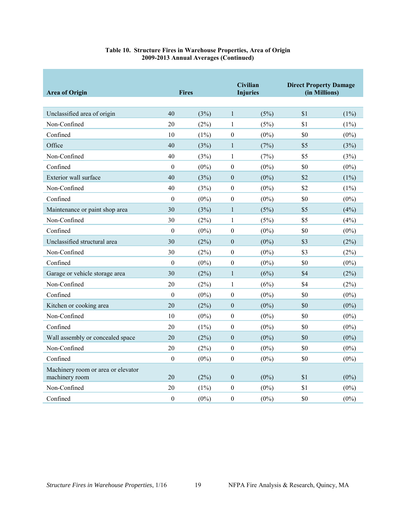| <b>Area of Origin</b>                                | <b>Fires</b>     |         |                  | <b>Civilian</b><br><b>Injuries</b> | <b>Direct Property Damage</b><br>(in Millions) |         |
|------------------------------------------------------|------------------|---------|------------------|------------------------------------|------------------------------------------------|---------|
| Unclassified area of origin                          | 40               | (3%)    | $\mathbf{1}$     | (5%)                               | \$1                                            | $(1\%)$ |
| Non-Confined                                         | 20               | (2%)    | 1                | (5%)                               | \$1                                            | $(1\%)$ |
| Confined                                             | 10               | $(1\%)$ | $\boldsymbol{0}$ | $(0\%)$                            | \$0                                            | $(0\%)$ |
| Office                                               | 40               | (3%)    | $\mathbf{1}$     | (7%)                               | \$5                                            | (3%)    |
| Non-Confined                                         | 40               | (3%)    | $\mathbf{1}$     | (7%)                               | \$5                                            | (3%)    |
| Confined                                             | $\boldsymbol{0}$ | $(0\%)$ | $\boldsymbol{0}$ | $(0\%)$                            | \$0                                            | $(0\%)$ |
| Exterior wall surface                                | 40               | (3%)    | $\boldsymbol{0}$ | $(0\%)$                            | \$2                                            | $(1\%)$ |
| Non-Confined                                         | 40               | (3%)    | $\boldsymbol{0}$ | $(0\%)$                            | \$2                                            | $(1\%)$ |
| Confined                                             | $\boldsymbol{0}$ | $(0\%)$ | $\boldsymbol{0}$ | $(0\%)$                            | \$0                                            | $(0\%)$ |
| Maintenance or paint shop area                       | 30               | (3%)    | $\mathbf{1}$     | (5%)                               | \$5                                            | (4%)    |
| Non-Confined                                         | 30               | (2%)    | 1                | (5%)                               | \$5                                            | (4%)    |
| Confined                                             | $\boldsymbol{0}$ | $(0\%)$ | $\boldsymbol{0}$ | $(0\%)$                            | \$0                                            | $(0\%)$ |
| Unclassified structural area                         | 30               | (2%)    | $\boldsymbol{0}$ | $(0\%)$                            | \$3                                            | (2%)    |
| Non-Confined                                         | 30               | (2%)    | $\boldsymbol{0}$ | $(0\%)$                            | \$3                                            | (2%)    |
| Confined                                             | $\theta$         | $(0\%)$ | $\boldsymbol{0}$ | $(0\%)$                            | \$0                                            | $(0\%)$ |
| Garage or vehicle storage area                       | 30               | (2%)    | $\mathbf{1}$     | (6%)                               | \$4                                            | (2%)    |
| Non-Confined                                         | 20               | $(2\%)$ | $\mathbf{1}$     | (6%)                               | \$4                                            | (2%)    |
| Confined                                             | $\mathbf{0}$     | $(0\%)$ | $\boldsymbol{0}$ | $(0\%)$                            | \$0                                            | $(0\%)$ |
| Kitchen or cooking area                              | 20               | (2%)    | $\boldsymbol{0}$ | $(0\%)$                            | \$0                                            | $(0\%)$ |
| Non-Confined                                         | 10               | $(0\%)$ | $\overline{0}$   | $(0\%)$                            | \$0                                            | $(0\%)$ |
| Confined                                             | 20               | $(1\%)$ | $\boldsymbol{0}$ | $(0\%)$                            | \$0                                            | $(0\%)$ |
| Wall assembly or concealed space                     | 20               | (2%)    | $\boldsymbol{0}$ | $(0\%)$                            | \$0                                            | $(0\%)$ |
| Non-Confined                                         | 20               | (2%)    | $\boldsymbol{0}$ | $(0\%)$                            | \$0                                            | $(0\%)$ |
| Confined                                             | $\boldsymbol{0}$ | $(0\%)$ | $\boldsymbol{0}$ | $(0\%)$                            | \$0                                            | $(0\%)$ |
| Machinery room or area or elevator<br>machinery room | 20               | (2%)    | $\overline{0}$   | $(0\%)$                            | \$1                                            | $(0\%)$ |
| Non-Confined                                         | 20               | $(1\%)$ | $\boldsymbol{0}$ | $(0\%)$                            | \$1                                            | $(0\%)$ |
| Confined                                             | $\mathbf{0}$     | $(0\%)$ | $\mathbf{0}$     | $(0\%)$                            | \$0                                            | $(0\%)$ |

#### **Table 10. Structure Fires in Warehouse Properties, Area of Origin 2009-2013 Annual Averages (Continued)**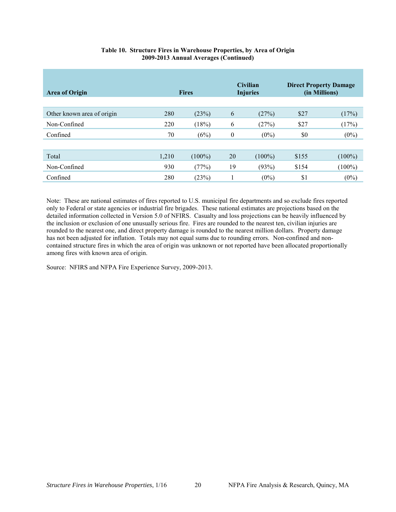| <b>Area of Origin</b>      | <b>Fires</b> |           | <b>Civilian</b><br><b>Injuries</b> |           | <b>Direct Property Damage</b><br>(in Millions) |           |
|----------------------------|--------------|-----------|------------------------------------|-----------|------------------------------------------------|-----------|
| Other known area of origin | 280          | (23%)     | 6                                  | (27%)     | \$27                                           | (17%)     |
| Non-Confined               | 220          | (18%)     | 6                                  | (27%)     | \$27                                           | (17%)     |
| Confined                   | 70           | (6%)      | 0                                  | $(0\%)$   | \$0                                            | $(0\%)$   |
|                            |              |           |                                    |           |                                                |           |
| Total                      | 1,210        | $(100\%)$ | 20                                 | $(100\%)$ | \$155                                          | $(100\%)$ |
| Non-Confined               | 930          | (77%)     | 19                                 | (93%)     | \$154                                          | $(100\%)$ |
| Confined                   | 280          | (23%)     |                                    | $(0\%)$   | \$1                                            | $(0\%)$   |

#### **Table 10. Structure Fires in Warehouse Properties, by Area of Origin 2009-2013 Annual Averages (Continued)**

Note: These are national estimates of fires reported to U.S. municipal fire departments and so exclude fires reported only to Federal or state agencies or industrial fire brigades. These national estimates are projections based on the detailed information collected in Version 5.0 of NFIRS. Casualty and loss projections can be heavily influenced by the inclusion or exclusion of one unusually serious fire. Fires are rounded to the nearest ten, civilian injuries are rounded to the nearest one, and direct property damage is rounded to the nearest million dollars. Property damage has not been adjusted for inflation. Totals may not equal sums due to rounding errors. Non-confined and noncontained structure fires in which the area of origin was unknown or not reported have been allocated proportionally among fires with known area of origin.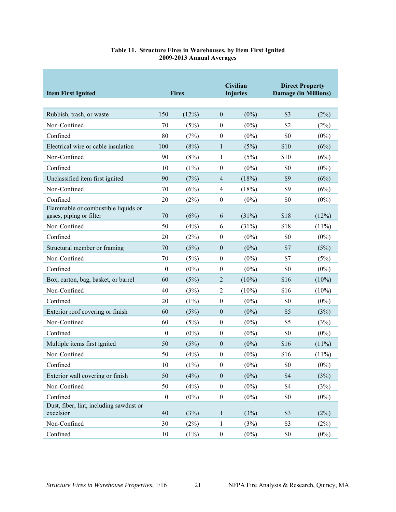<span id="page-24-0"></span>

| <b>Item First Ignited</b>                                      |                  | <b>Fires</b> |                  | Civilian<br><b>Injuries</b> | <b>Direct Property</b><br><b>Damage (in Millions)</b> |          |
|----------------------------------------------------------------|------------------|--------------|------------------|-----------------------------|-------------------------------------------------------|----------|
| Rubbish, trash, or waste                                       | 150              | (12%)        | $\mathbf{0}$     | $(0\%)$                     | \$3                                                   | (2%)     |
| Non-Confined                                                   | 70               | (5%)         | $\mathbf{0}$     | $(0\%)$                     | \$2                                                   | (2%)     |
| Confined                                                       | 80               | (7%)         | $\boldsymbol{0}$ | $(0\%)$                     | \$0                                                   | $(0\%)$  |
| Electrical wire or cable insulation                            | 100              | (8%)         | $\mathbf{1}$     | (5%)                        | \$10                                                  | (6%)     |
| Non-Confined                                                   | 90               | (8%)         | 1                | (5%)                        | \$10                                                  | (6%)     |
| Confined                                                       | 10               | $(1\%)$      | $\boldsymbol{0}$ | $(0\%)$                     | \$0                                                   | $(0\%)$  |
| Unclassified item first ignited                                | 90               | (7%)         | $\overline{4}$   | (18%)                       | \$9                                                   | (6%)     |
| Non-Confined                                                   | 70               | (6%)         | $\overline{4}$   | (18%)                       | \$9                                                   | (6%)     |
| Confined                                                       | 20               | (2%)         | $\boldsymbol{0}$ | $(0\%)$                     | \$0                                                   | $(0\%)$  |
| Flammable or combustible liquids or<br>gases, piping or filter | 70               | (6%)         | 6                | (31%)                       | \$18                                                  | (12%)    |
| Non-Confined                                                   | 50               | (4%)         | 6                | (31%)                       | \$18                                                  | (11%)    |
| Confined                                                       | 20               | (2%)         | $\boldsymbol{0}$ | $(0\%)$                     | \$0                                                   | $(0\%)$  |
| Structural member or framing                                   | 70               | (5%)         | $\boldsymbol{0}$ | $(0\%)$                     | \$7                                                   | (5%)     |
| Non-Confined                                                   | 70               | (5%)         | $\boldsymbol{0}$ | $(0\%)$                     | \$7                                                   | (5%)     |
| Confined                                                       | $\boldsymbol{0}$ | $(0\%)$      | $\boldsymbol{0}$ | $(0\%)$                     | \$0                                                   | $(0\%)$  |
| Box, carton, bag, basket, or barrel                            | 60               | (5%)         | 2                | $(10\%)$                    | \$16                                                  | $(10\%)$ |
| Non-Confined                                                   | 40               | (3%)         | $\overline{c}$   | $(10\%)$                    | \$16                                                  | $(10\%)$ |
| Confined                                                       | 20               | $(1\%)$      | $\boldsymbol{0}$ | $(0\%)$                     | \$0                                                   | $(0\%)$  |
| Exterior roof covering or finish                               | 60               | (5%)         | $\boldsymbol{0}$ | $(0\%)$                     | \$5                                                   | (3%)     |
| Non-Confined                                                   | 60               | (5%)         | $\boldsymbol{0}$ | $(0\%)$                     | \$5                                                   | (3%)     |
| Confined                                                       | $\boldsymbol{0}$ | $(0\%)$      | $\mathbf{0}$     | $(0\%)$                     | \$0                                                   | $(0\%)$  |
| Multiple items first ignited                                   | 50               | (5%)         | $\mathbf{0}$     | $(0\%)$                     | \$16                                                  | $(11\%)$ |
| Non-Confined                                                   | 50               | (4%)         | $\boldsymbol{0}$ | $(0\%)$                     | \$16                                                  | $(11\%)$ |
| Confined                                                       | 10               | $(1\%)$      | $\boldsymbol{0}$ | $(0\%)$                     | \$0                                                   | $(0\%)$  |
| Exterior wall covering or finish                               | 50               | (4%)         | $\boldsymbol{0}$ | $(0\%)$                     | \$4                                                   | (3%)     |
| Non-Confined                                                   | 50               | (4%)         | $\boldsymbol{0}$ | $(0\%)$                     | \$4                                                   | (3%)     |
| Confined                                                       | $\boldsymbol{0}$ | $(0\%)$      | $\boldsymbol{0}$ | $(0\%)$                     | \$0                                                   | $(0\%)$  |
| Dust, fiber, lint, including sawdust or<br>excelsior           | 40               | (3%)         | $\mathbf{1}$     | (3%)                        | \$3                                                   | (2%)     |
| Non-Confined                                                   | 30               | (2%)         | $\mathbf{1}$     | (3%)                        | \$3                                                   | (2%)     |
| Confined                                                       | 10               | $(1\%)$      | $\boldsymbol{0}$ | $(0\%)$                     | $\$0$                                                 | $(0\%)$  |

#### **Table 11. Structure Fires in Warehouses, by Item First Ignited 2009-2013 Annual Averages**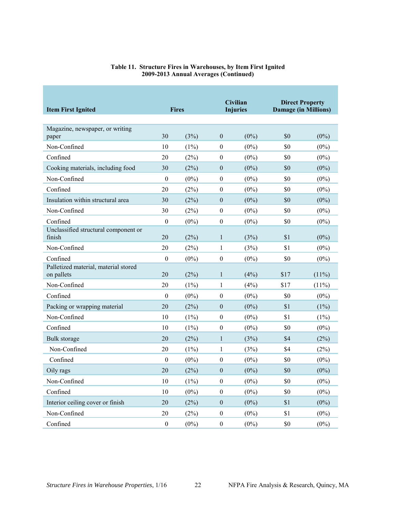| <b>Item First Ignited</b>                          |                  | <b>Fires</b> | <b>Civilian</b><br><b>Injuries</b> |         | <b>Direct Property</b><br><b>Damage (in Millions)</b> |          |
|----------------------------------------------------|------------------|--------------|------------------------------------|---------|-------------------------------------------------------|----------|
| Magazine, newspaper, or writing<br>paper           | 30               | (3%)         | $\overline{0}$                     | $(0\%)$ | \$0                                                   | $(0\%)$  |
| Non-Confined                                       | 10               | $(1\%)$      | $\boldsymbol{0}$                   | $(0\%)$ | \$0                                                   | $(0\%)$  |
| Confined                                           | 20               | (2%)         | $\overline{0}$                     | $(0\%)$ | \$0                                                   | $(0\%)$  |
| Cooking materials, including food                  | 30               | (2%)         | $\overline{0}$                     | $(0\%)$ | \$0                                                   | $(0\%)$  |
| Non-Confined                                       | $\boldsymbol{0}$ | $(0\%)$      | $\boldsymbol{0}$                   | $(0\%)$ | \$0                                                   | $(0\%)$  |
| Confined                                           | 20               | (2%)         | $\boldsymbol{0}$                   | $(0\%)$ | \$0                                                   | $(0\%)$  |
| Insulation within structural area                  | 30               | (2%)         | $\boldsymbol{0}$                   | $(0\%)$ | \$0                                                   | $(0\%)$  |
| Non-Confined                                       | 30               | (2%)         | $\boldsymbol{0}$                   | $(0\%)$ | \$0                                                   | $(0\%)$  |
| Confined                                           | $\mathbf{0}$     | $(0\%)$      | $\mathbf{0}$                       | $(0\%)$ | \$0                                                   | $(0\%)$  |
| Unclassified structural component or<br>finish     | 20               | (2%)         | $\mathbf{1}$                       | (3%)    | \$1                                                   | $(0\%)$  |
| Non-Confined                                       | 20               | (2%)         | $\mathbf{1}$                       | (3%)    | \$1                                                   | $(0\%)$  |
| Confined                                           | $\boldsymbol{0}$ | $(0\%)$      | $\theta$                           | $(0\%)$ | \$0                                                   | $(0\%)$  |
| Palletized material, material stored<br>on pallets | 20               | (2%)         | $\mathbf{1}$                       | (4%)    | \$17                                                  | $(11\%)$ |
| Non-Confined                                       | 20               | $(1\%)$      | $\mathbf{1}$                       | (4%)    | \$17                                                  | $(11\%)$ |
| Confined                                           | $\boldsymbol{0}$ | $(0\%)$      | $\boldsymbol{0}$                   | $(0\%)$ | \$0                                                   | $(0\%)$  |
| Packing or wrapping material                       | 20               | (2%)         | $\boldsymbol{0}$                   | $(0\%)$ | \$1                                                   | $(1\%)$  |
| Non-Confined                                       | 10               | $(1\%)$      | $\theta$                           | $(0\%)$ | \$1                                                   | $(1\%)$  |
| Confined                                           | 10               | $(1\%)$      | $\overline{0}$                     | $(0\%)$ | \$0                                                   | $(0\%)$  |
| Bulk storage                                       | 20               | (2%)         | $\mathbf{1}$                       | (3%)    | \$4                                                   | (2%)     |
| Non-Confined                                       | 20               | $(1\%)$      | $\mathbf{1}$                       | (3%)    | \$4                                                   | (2%)     |
| Confined                                           | $\boldsymbol{0}$ | $(0\%)$      | $\boldsymbol{0}$                   | $(0\%)$ | \$0                                                   | $(0\%)$  |
| Oily rags                                          | 20               | (2%)         | $\boldsymbol{0}$                   | $(0\%)$ | \$0                                                   | $(0\%)$  |
| Non-Confined                                       | 10               | $(1\%)$      | $\overline{0}$                     | $(0\%)$ | \$0                                                   | $(0\%)$  |
| Confined                                           | 10               | $(0\%)$      | $\mathbf{0}$                       | $(0\%)$ | \$0                                                   | $(0\%)$  |
| Interior ceiling cover or finish                   | 20               | (2%)         | $\boldsymbol{0}$                   | $(0\%)$ | \$1                                                   | $(0\%)$  |
| Non-Confined                                       | 20               | (2%)         | $\mathbf{0}$                       | $(0\%)$ | \$1                                                   | $(0\%)$  |
| Confined                                           | $\theta$         | $(0\%)$      | $\boldsymbol{0}$                   | $(0\%)$ | \$0                                                   | $(0\%)$  |

#### **Table 11. Structure Fires in Warehouses, by Item First Ignited 2009-2013 Annual Averages (Continued)**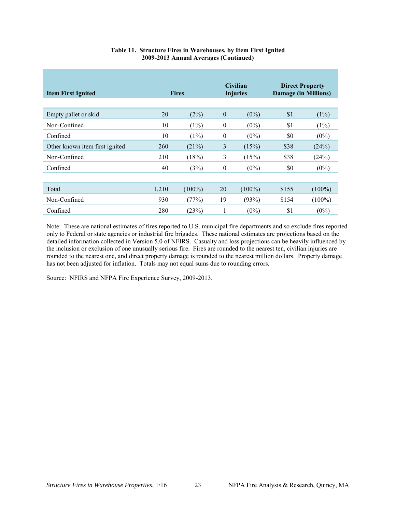| <b>Item First Ignited</b>      |       | <b>Fires</b> |                  | <b>Civilian</b><br><b>Injuries</b> | <b>Direct Property</b><br><b>Damage (in Millions)</b> |           |
|--------------------------------|-------|--------------|------------------|------------------------------------|-------------------------------------------------------|-----------|
| Empty pallet or skid           | 20    | (2%)         | $\boldsymbol{0}$ | $(0\%)$                            | \$1                                                   | (1%)      |
| Non-Confined                   | 10    | (1%)         | $\boldsymbol{0}$ | $(0\%)$                            | \$1                                                   | (1%)      |
| Confined                       | 10    | (1%)         | $\mathbf{0}$     | $(0\%)$                            | \$0                                                   | $(0\%)$   |
| Other known item first ignited | 260   | (21%)        | 3                | (15%)                              | \$38                                                  | (24%)     |
| Non-Confined                   | 210   | (18%)        | 3                | (15%)                              | \$38                                                  | (24%)     |
| Confined                       | 40    | (3%)         | $\mathbf{0}$     | $(0\%)$                            | \$0                                                   | $(0\%)$   |
|                                |       |              |                  |                                    |                                                       |           |
| Total                          | 1,210 | $(100\%)$    | 20               | $(100\%)$                          | \$155                                                 | $(100\%)$ |
| Non-Confined                   | 930   | (77%)        | 19               | (93%)                              | \$154                                                 | $(100\%)$ |
| Confined                       | 280   | (23%)        | 1                | $(0\%)$                            | \$1                                                   | $(0\%)$   |

#### **Table 11. Structure Fires in Warehouses, by Item First Ignited 2009-2013 Annual Averages (Continued)**

Note: These are national estimates of fires reported to U.S. municipal fire departments and so exclude fires reported only to Federal or state agencies or industrial fire brigades. These national estimates are projections based on the detailed information collected in Version 5.0 of NFIRS. Casualty and loss projections can be heavily influenced by the inclusion or exclusion of one unusually serious fire. Fires are rounded to the nearest ten, civilian injuries are rounded to the nearest one, and direct property damage is rounded to the nearest million dollars. Property damage has not been adjusted for inflation. Totals may not equal sums due to rounding errors.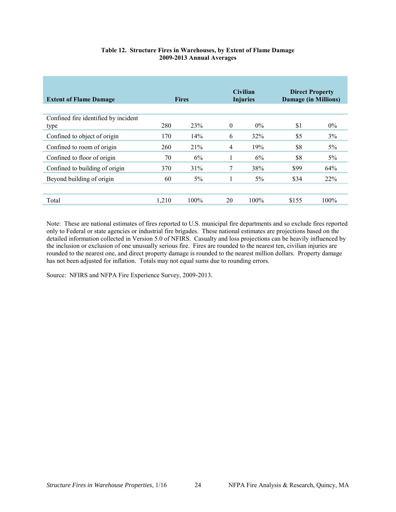<span id="page-27-0"></span>

| <b>Extent of Flame Damage</b>                | <b>Fires</b> |       | <b>Civilian</b><br><b>Injuries</b> |         | <b>Direct Property</b><br><b>Damage (in Millions)</b> |            |
|----------------------------------------------|--------------|-------|------------------------------------|---------|-------------------------------------------------------|------------|
| Confined fire identified by incident<br>type | 280          | 23%   | $\theta$                           | $0\%$   | \$1                                                   | $0\%$      |
| Confined to object of origin                 | 170          | 14%   | 6                                  | 32%     | \$5                                                   | 3%         |
| Confined to room of origin                   | 260          | 21%   | $\overline{4}$                     | 19%     | \$8                                                   | 5%         |
| Confined to floor of origin                  | 70           | 6%    |                                    | 6%      | \$8                                                   | $5\%$      |
| Confined to building of origin               | 370          | 31%   | 7                                  | 38%     | \$99                                                  | 64%        |
| Beyond building of origin                    | 60           | $5\%$ |                                    | $5\%$   | \$34                                                  | <b>22%</b> |
|                                              |              |       |                                    |         |                                                       |            |
| Total                                        | 1,210        | 100%  | 20                                 | $100\%$ | \$155                                                 | 100%       |

#### **Table 12. Structure Fires in Warehouses, by Extent of Flame Damage 2009-2013 Annual Averages**

Note: These are national estimates of fires reported to U.S. municipal fire departments and so exclude fires reported only to Federal or state agencies or industrial fire brigades. These national estimates are projections based on the detailed information collected in Version 5.0 of NFIRS. Casualty and loss projections can be heavily influenced by the inclusion or exclusion of one unusually serious fire. Fires are rounded to the nearest ten, civilian injuries are rounded to the nearest one, and direct property damage is rounded to the nearest million dollars. Property damage has not been adjusted for inflation. Totals may not equal sums due to rounding errors.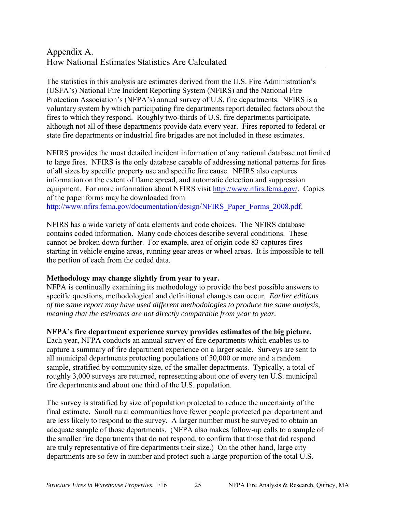## Appendix A. How National Estimates Statistics Are Calculated

The statistics in this analysis are estimates derived from the U.S. Fire Administration's (USFA's) National Fire Incident Reporting System (NFIRS) and the National Fire Protection Association's (NFPA's) annual survey of U.S. fire departments. NFIRS is a voluntary system by which participating fire departments report detailed factors about the fires to which they respond. Roughly two-thirds of U.S. fire departments participate, although not all of these departments provide data every year. Fires reported to federal or state fire departments or industrial fire brigades are not included in these estimates.

NFIRS provides the most detailed incident information of any national database not limited to large fires. NFIRS is the only database capable of addressing national patterns for fires of all sizes by specific property use and specific fire cause. NFIRS also captures information on the extent of flame spread, and automatic detection and suppression equipment. For more information about NFIRS visit [http://www.nfirs.fema.gov/.](http://www.nfirs.fema.gov/) Copies of the paper forms may be downloaded from [http://www.nfirs.fema.gov/documentation/design/NFIRS\\_Paper\\_Forms\\_2008.pdf.](http://www.nfirs.fema.gov/documentation/design/NFIRS_Paper_Forms_2008.pdf)

NFIRS has a wide variety of data elements and code choices. The NFIRS database contains coded information. Many code choices describe several conditions. These cannot be broken down further. For example, area of origin code 83 captures fires starting in vehicle engine areas, running gear areas or wheel areas. It is impossible to tell the portion of each from the coded data.

## **Methodology may change slightly from year to year.**

NFPA is continually examining its methodology to provide the best possible answers to specific questions, methodological and definitional changes can occur. *Earlier editions of the same report may have used different methodologies to produce the same analysis, meaning that the estimates are not directly comparable from year to year.* 

#### **NFPA's fire department experience survey provides estimates of the big picture.**

Each year, NFPA conducts an annual survey of fire departments which enables us to capture a summary of fire department experience on a larger scale. Surveys are sent to all municipal departments protecting populations of 50,000 or more and a random sample, stratified by community size, of the smaller departments. Typically, a total of roughly 3,000 surveys are returned, representing about one of every ten U.S. municipal fire departments and about one third of the U.S. population.

The survey is stratified by size of population protected to reduce the uncertainty of the final estimate. Small rural communities have fewer people protected per department and are less likely to respond to the survey. A larger number must be surveyed to obtain an adequate sample of those departments. (NFPA also makes follow-up calls to a sample of the smaller fire departments that do not respond, to confirm that those that did respond are truly representative of fire departments their size.) On the other hand, large city departments are so few in number and protect such a large proportion of the total U.S.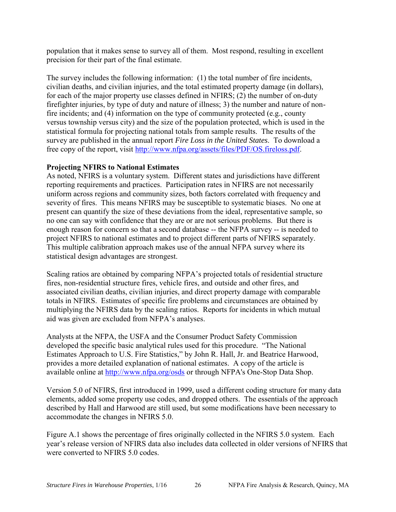population that it makes sense to survey all of them. Most respond, resulting in excellent precision for their part of the final estimate.

The survey includes the following information: (1) the total number of fire incidents, civilian deaths, and civilian injuries, and the total estimated property damage (in dollars), for each of the major property use classes defined in NFIRS; (2) the number of on-duty firefighter injuries, by type of duty and nature of illness; 3) the number and nature of nonfire incidents; and (4) information on the type of community protected (e.g., county versus township versus city) and the size of the population protected, which is used in the statistical formula for projecting national totals from sample results. The results of the survey are published in the annual report *Fire Loss in the United States*. To download a free copy of the report, visit [http://www.nfpa.org/assets/files/PDF/OS.fireloss.pdf.](http://www.nfpa.org/assets/files/PDF/OS.fireloss.pdf)

## **Projecting NFIRS to National Estimates**

As noted, NFIRS is a voluntary system. Different states and jurisdictions have different reporting requirements and practices. Participation rates in NFIRS are not necessarily uniform across regions and community sizes, both factors correlated with frequency and severity of fires. This means NFIRS may be susceptible to systematic biases. No one at present can quantify the size of these deviations from the ideal, representative sample, so no one can say with confidence that they are or are not serious problems. But there is enough reason for concern so that a second database -- the NFPA survey -- is needed to project NFIRS to national estimates and to project different parts of NFIRS separately. This multiple calibration approach makes use of the annual NFPA survey where its statistical design advantages are strongest.

Scaling ratios are obtained by comparing NFPA's projected totals of residential structure fires, non-residential structure fires, vehicle fires, and outside and other fires, and associated civilian deaths, civilian injuries, and direct property damage with comparable totals in NFIRS. Estimates of specific fire problems and circumstances are obtained by multiplying the NFIRS data by the scaling ratios. Reports for incidents in which mutual aid was given are excluded from NFPA's analyses.

Analysts at the NFPA, the USFA and the Consumer Product Safety Commission developed the specific basic analytical rules used for this procedure. "The National Estimates Approach to U.S. Fire Statistics," by John R. Hall, Jr. and Beatrice Harwood, provides a more detailed explanation of national estimates. A copy of the article is available online at<http://www.nfpa.org/osds> or through NFPA's One-Stop Data Shop.

Version 5.0 of NFIRS, first introduced in 1999, used a different coding structure for many data elements, added some property use codes, and dropped others. The essentials of the approach described by Hall and Harwood are still used, but some modifications have been necessary to accommodate the changes in NFIRS 5.0.

Figure A.1 shows the percentage of fires originally collected in the NFIRS 5.0 system. Each year's release version of NFIRS data also includes data collected in older versions of NFIRS that were converted to NFIRS 5.0 codes.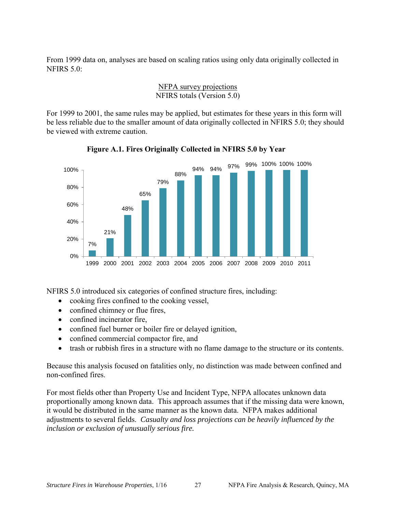From 1999 data on, analyses are based on scaling ratios using only data originally collected in NFIRS  $5.0$ 

#### NFPA survey projections NFIRS totals (Version 5.0)

For 1999 to 2001, the same rules may be applied, but estimates for these years in this form will be less reliable due to the smaller amount of data originally collected in NFIRS 5.0; they should be viewed with extreme caution.



**Figure A.1. Fires Originally Collected in NFIRS 5.0 by Year** 

NFIRS 5.0 introduced six categories of confined structure fires, including:

- cooking fires confined to the cooking vessel,
- confined chimney or flue fires,
- confined incinerator fire,
- confined fuel burner or boiler fire or delayed ignition,
- confined commercial compactor fire, and
- trash or rubbish fires in a structure with no flame damage to the structure or its contents.

Because this analysis focused on fatalities only, no distinction was made between confined and non-confined fires.

For most fields other than Property Use and Incident Type, NFPA allocates unknown data proportionally among known data. This approach assumes that if the missing data were known, it would be distributed in the same manner as the known data. NFPA makes additional adjustments to several fields. *Casualty and loss projections can be heavily influenced by the inclusion or exclusion of unusually serious fire.*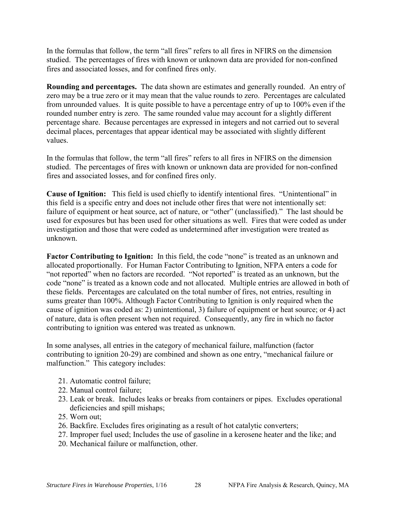In the formulas that follow, the term "all fires" refers to all fires in NFIRS on the dimension studied. The percentages of fires with known or unknown data are provided for non-confined fires and associated losses, and for confined fires only.

**Rounding and percentages.** The data shown are estimates and generally rounded. An entry of zero may be a true zero or it may mean that the value rounds to zero. Percentages are calculated from unrounded values. It is quite possible to have a percentage entry of up to 100% even if the rounded number entry is zero. The same rounded value may account for a slightly different percentage share. Because percentages are expressed in integers and not carried out to several decimal places, percentages that appear identical may be associated with slightly different values.

In the formulas that follow, the term "all fires" refers to all fires in NFIRS on the dimension studied. The percentages of fires with known or unknown data are provided for non-confined fires and associated losses, and for confined fires only.

**Cause of Ignition:** This field is used chiefly to identify intentional fires. "Unintentional" in this field is a specific entry and does not include other fires that were not intentionally set: failure of equipment or heat source, act of nature, or "other" (unclassified)." The last should be used for exposures but has been used for other situations as well. Fires that were coded as under investigation and those that were coded as undetermined after investigation were treated as unknown.

Factor Contributing to Ignition: In this field, the code "none" is treated as an unknown and allocated proportionally. For Human Factor Contributing to Ignition, NFPA enters a code for "not reported" when no factors are recorded. "Not reported" is treated as an unknown, but the code "none" is treated as a known code and not allocated. Multiple entries are allowed in both of these fields. Percentages are calculated on the total number of fires, not entries, resulting in sums greater than 100%. Although Factor Contributing to Ignition is only required when the cause of ignition was coded as: 2) unintentional, 3) failure of equipment or heat source; or 4) act of nature, data is often present when not required. Consequently, any fire in which no factor contributing to ignition was entered was treated as unknown.

In some analyses, all entries in the category of mechanical failure, malfunction (factor contributing to ignition 20-29) are combined and shown as one entry, "mechanical failure or malfunction." This category includes:

- 21. Automatic control failure;
- 22. Manual control failure;
- 23. Leak or break. Includes leaks or breaks from containers or pipes. Excludes operational deficiencies and spill mishaps;
- 25. Worn out;
- 26. Backfire. Excludes fires originating as a result of hot catalytic converters;
- 27. Improper fuel used; Includes the use of gasoline in a kerosene heater and the like; and
- 20. Mechanical failure or malfunction, other.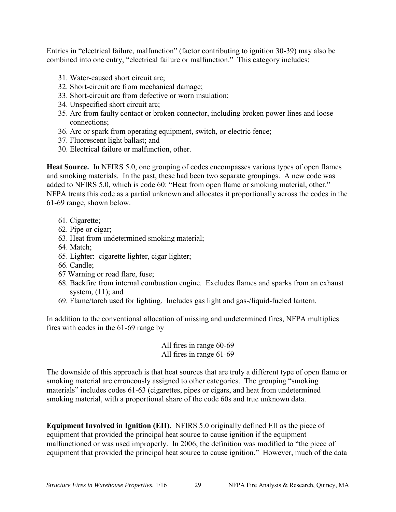Entries in "electrical failure, malfunction" (factor contributing to ignition 30-39) may also be combined into one entry, "electrical failure or malfunction." This category includes:

- 31. Water-caused short circuit arc;
- 32. Short-circuit arc from mechanical damage;
- 33. Short-circuit arc from defective or worn insulation;
- 34. Unspecified short circuit arc;
- 35. Arc from faulty contact or broken connector, including broken power lines and loose connections;
- 36. Arc or spark from operating equipment, switch, or electric fence;
- 37. Fluorescent light ballast; and
- 30. Electrical failure or malfunction, other.

**Heat Source.** In NFIRS 5.0, one grouping of codes encompasses various types of open flames and smoking materials. In the past, these had been two separate groupings. A new code was added to NFIRS 5.0, which is code 60: "Heat from open flame or smoking material, other." NFPA treats this code as a partial unknown and allocates it proportionally across the codes in the 61-69 range, shown below.

- 61. Cigarette;
- 62. Pipe or cigar;
- 63. Heat from undetermined smoking material;
- 64. Match;
- 65. Lighter: cigarette lighter, cigar lighter;
- 66. Candle;
- 67 Warning or road flare, fuse;
- 68. Backfire from internal combustion engine. Excludes flames and sparks from an exhaust system,  $(11)$ ; and
- 69. Flame/torch used for lighting. Includes gas light and gas-/liquid-fueled lantern.

In addition to the conventional allocation of missing and undetermined fires, NFPA multiplies fires with codes in the 61-69 range by

#### All fires in range 60-69 All fires in range 61-69

The downside of this approach is that heat sources that are truly a different type of open flame or smoking material are erroneously assigned to other categories. The grouping "smoking materials" includes codes 61-63 (cigarettes, pipes or cigars, and heat from undetermined smoking material, with a proportional share of the code 60s and true unknown data.

**Equipment Involved in Ignition (EII).** NFIRS 5.0 originally defined EII as the piece of equipment that provided the principal heat source to cause ignition if the equipment malfunctioned or was used improperly. In 2006, the definition was modified to "the piece of equipment that provided the principal heat source to cause ignition." However, much of the data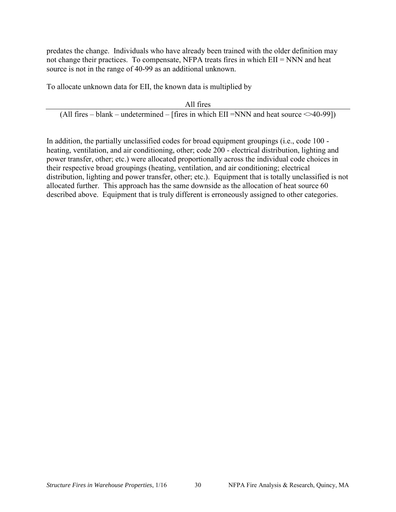predates the change. Individuals who have already been trained with the older definition may not change their practices. To compensate, NFPA treats fires in which EII = NNN and heat source is not in the range of 40-99 as an additional unknown.

To allocate unknown data for EII, the known data is multiplied by

All fires (All fires – blank – undetermined – [fires in which EII =NNN and heat source  $\leq 40-99$ ])

In addition, the partially unclassified codes for broad equipment groupings (i.e., code 100 heating, ventilation, and air conditioning, other; code 200 - electrical distribution, lighting and power transfer, other; etc.) were allocated proportionally across the individual code choices in their respective broad groupings (heating, ventilation, and air conditioning; electrical distribution, lighting and power transfer, other; etc.). Equipment that is totally unclassified is not allocated further. This approach has the same downside as the allocation of heat source 60 described above. Equipment that is truly different is erroneously assigned to other categories.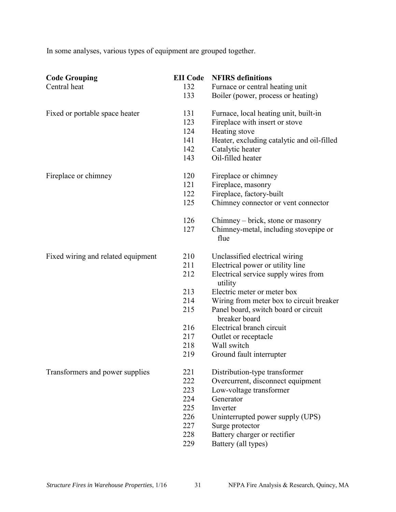In some analyses, various types of equipment are grouped together.

| <b>Code Grouping</b>               | <b>EII</b> Code | <b>NFIRS</b> definitions                              |
|------------------------------------|-----------------|-------------------------------------------------------|
| Central heat                       | 132             | Furnace or central heating unit                       |
|                                    | 133             | Boiler (power, process or heating)                    |
| Fixed or portable space heater     | 131             | Furnace, local heating unit, built-in                 |
|                                    | 123             | Fireplace with insert or stove                        |
|                                    | 124             | Heating stove                                         |
|                                    | 141             | Heater, excluding catalytic and oil-filled            |
|                                    | 142             | Catalytic heater                                      |
|                                    | 143             | Oil-filled heater                                     |
| Fireplace or chimney               | 120             | Fireplace or chimney                                  |
|                                    | 121             | Fireplace, masonry                                    |
|                                    | 122             | Fireplace, factory-built                              |
|                                    | 125             | Chimney connector or vent connector                   |
|                                    | 126             | Chimney – brick, stone or masonry                     |
|                                    | 127             | Chimney-metal, including stovepipe or<br>flue         |
| Fixed wiring and related equipment | 210             | Unclassified electrical wiring                        |
|                                    | 211             | Electrical power or utility line                      |
|                                    | 212             | Electrical service supply wires from<br>utility       |
|                                    | 213             | Electric meter or meter box                           |
|                                    | 214             | Wiring from meter box to circuit breaker              |
|                                    | 215             | Panel board, switch board or circuit<br>breaker board |
|                                    | 216             | Electrical branch circuit                             |
|                                    | 217             | Outlet or receptacle                                  |
|                                    | 218             | Wall switch                                           |
|                                    | 219             | Ground fault interrupter                              |
| Transformers and power supplies    | 221             | Distribution-type transformer                         |
|                                    | 222             | Overcurrent, disconnect equipment                     |
|                                    | 223             | Low-voltage transformer                               |
|                                    | 224             | Generator                                             |
|                                    | 225             | Inverter                                              |
|                                    | 226             | Uninterrupted power supply (UPS)                      |
|                                    | 227             | Surge protector                                       |
|                                    | 228             | Battery charger or rectifier                          |
|                                    | 229             | Battery (all types)                                   |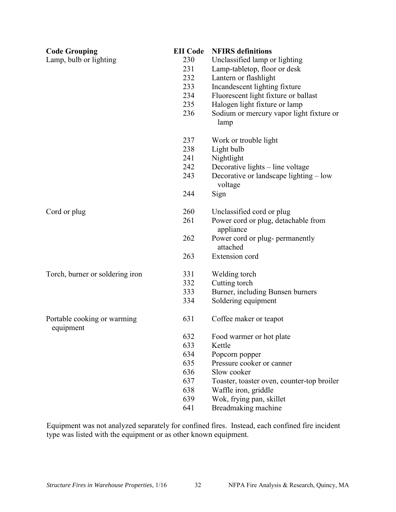| <b>Code Grouping</b>                     | <b>EII</b> Code | <b>NFIRS</b> definitions                          |
|------------------------------------------|-----------------|---------------------------------------------------|
| Lamp, bulb or lighting                   | 230             | Unclassified lamp or lighting                     |
|                                          | 231             | Lamp-tabletop, floor or desk                      |
|                                          | 232             | Lantern or flashlight                             |
|                                          | 233             | Incandescent lighting fixture                     |
|                                          | 234             | Fluorescent light fixture or ballast              |
|                                          | 235             | Halogen light fixture or lamp                     |
|                                          | 236             | Sodium or mercury vapor light fixture or<br>lamp  |
|                                          | 237             | Work or trouble light                             |
|                                          | 238             | Light bulb                                        |
|                                          | 241             | Nightlight                                        |
|                                          | 242             | Decorative lights - line voltage                  |
|                                          | 243             | Decorative or landscape lighting – low<br>voltage |
|                                          | 244             | Sign                                              |
| Cord or plug                             | 260             | Unclassified cord or plug                         |
|                                          | 261             | Power cord or plug, detachable from<br>appliance  |
|                                          | 262             | Power cord or plug- permanently<br>attached       |
|                                          | 263             | Extension cord                                    |
| Torch, burner or soldering iron          | 331             | Welding torch                                     |
|                                          | 332             | Cutting torch                                     |
|                                          | 333             | Burner, including Bunsen burners                  |
|                                          | 334             | Soldering equipment                               |
| Portable cooking or warming<br>equipment | 631             | Coffee maker or teapot                            |
|                                          | 632             | Food warmer or hot plate                          |
|                                          | 633             | Kettle                                            |
|                                          | 634             | Popcorn popper                                    |
|                                          | 635             | Pressure cooker or canner                         |
|                                          | 636             | Slow cooker                                       |
|                                          | 637             | Toaster, toaster oven, counter-top broiler        |
|                                          | 638             | Waffle iron, griddle                              |
|                                          | 639             | Wok, frying pan, skillet                          |
|                                          | 641             | Breadmaking machine                               |

Equipment was not analyzed separately for confined fires. Instead, each confined fire incident type was listed with the equipment or as other known equipment.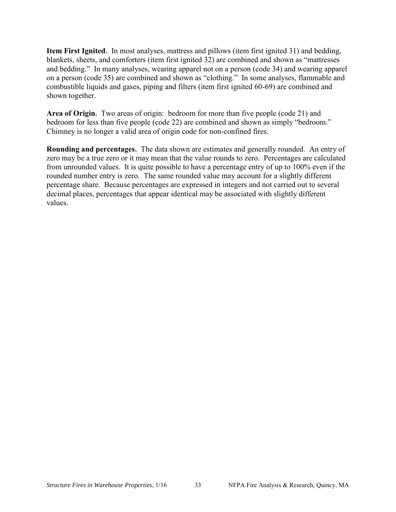**Item First Ignited.** In most analyses, mattress and pillows (item first ignited 31) and bedding, blankets, sheets, and comforters (item first ignited 32) are combined and shown as "mattresses and bedding." In many analyses, wearing apparel not on a person (code 34) and wearing apparel on a person (code 35) are combined and shown as "clothing." In some analyses, flammable and combustible liquids and gases, piping and filters (item first ignited 60-69) are combined and shown together.

**Area of Origin.** Two areas of origin: bedroom for more than five people (code 21) and bedroom for less than five people (code 22) are combined and shown as simply "bedroom." Chimney is no longer a valid area of origin code for non-confined fires.

**Rounding and percentages.** The data shown are estimates and generally rounded. An entry of zero may be a true zero or it may mean that the value rounds to zero. Percentages are calculated from unrounded values. It is quite possible to have a percentage entry of up to 100% even if the rounded number entry is zero. The same rounded value may account for a slightly different percentage share. Because percentages are expressed in integers and not carried out to several decimal places, percentages that appear identical may be associated with slightly different values.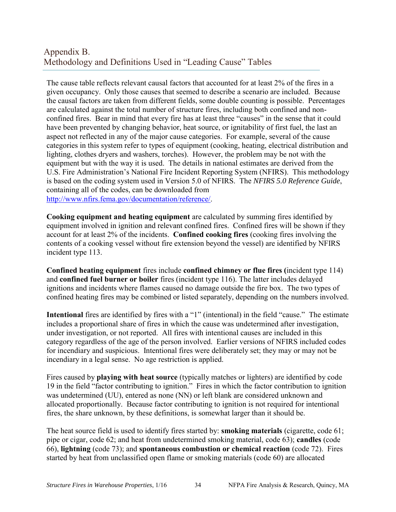## Appendix B. Methodology and Definitions Used in "Leading Cause" Tables

The cause table reflects relevant causal factors that accounted for at least 2% of the fires in a given occupancy. Only those causes that seemed to describe a scenario are included. Because the causal factors are taken from different fields, some double counting is possible. Percentages are calculated against the total number of structure fires, including both confined and nonconfined fires. Bear in mind that every fire has at least three "causes" in the sense that it could have been prevented by changing behavior, heat source, or ignitability of first fuel, the last an aspect not reflected in any of the major cause categories. For example, several of the cause categories in this system refer to types of equipment (cooking, heating, electrical distribution and lighting, clothes dryers and washers, torches). However, the problem may be not with the equipment but with the way it is used. The details in national estimates are derived from the U.S. Fire Administration's National Fire Incident Reporting System (NFIRS). This methodology is based on the coding system used in Version 5.0 of NFIRS. The *NFIRS 5.0 Reference Guide*, containing all of the codes, can be downloaded from [http://www.nfirs.fema.gov/documentation/reference/.](http://www.nfirs.fema.gov/documentation/reference/)

**Cooking equipment and heating equipment** are calculated by summing fires identified by equipment involved in ignition and relevant confined fires. Confined fires will be shown if they account for at least 2% of the incidents. **Confined cooking fires** (cooking fires involving the contents of a cooking vessel without fire extension beyond the vessel) are identified by NFIRS incident type 113.

**Confined heating equipment** fires include **confined chimney or flue fires (**incident type 114) and **confined fuel burner or boiler** fires (incident type 116). The latter includes delayed ignitions and incidents where flames caused no damage outside the fire box. The two types of confined heating fires may be combined or listed separately, depending on the numbers involved.

**Intentional** fires are identified by fires with a "1" (intentional) in the field "cause." The estimate includes a proportional share of fires in which the cause was undetermined after investigation, under investigation, or not reported. All fires with intentional causes are included in this category regardless of the age of the person involved. Earlier versions of NFIRS included codes for incendiary and suspicious. Intentional fires were deliberately set; they may or may not be incendiary in a legal sense. No age restriction is applied.

Fires caused by **playing with heat source** (typically matches or lighters) are identified by code 19 in the field "factor contributing to ignition." Fires in which the factor contribution to ignition was undetermined (UU), entered as none (NN) or left blank are considered unknown and allocated proportionally. Because factor contributing to ignition is not required for intentional fires, the share unknown, by these definitions, is somewhat larger than it should be.

The heat source field is used to identify fires started by: **smoking materials** (cigarette, code 61; pipe or cigar, code 62; and heat from undetermined smoking material, code 63); **candles** (code 66), **lightning** (code 73); and **spontaneous combustion or chemical reaction** (code 72). Fires started by heat from unclassified open flame or smoking materials (code 60) are allocated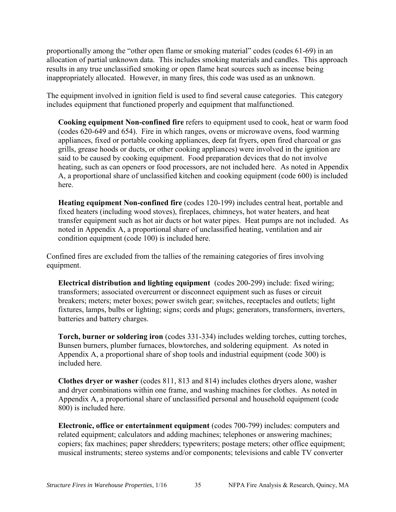proportionally among the "other open flame or smoking material" codes (codes 61-69) in an allocation of partial unknown data. This includes smoking materials and candles. This approach results in any true unclassified smoking or open flame heat sources such as incense being inappropriately allocated. However, in many fires, this code was used as an unknown.

The equipment involved in ignition field is used to find several cause categories. This category includes equipment that functioned properly and equipment that malfunctioned.

**Cooking equipment Non-confined fire** refers to equipment used to cook, heat or warm food (codes 620-649 and 654). Fire in which ranges, ovens or microwave ovens, food warming appliances, fixed or portable cooking appliances, deep fat fryers, open fired charcoal or gas grills, grease hoods or ducts, or other cooking appliances) were involved in the ignition are said to be caused by cooking equipment. Food preparation devices that do not involve heating, such as can openers or food processors, are not included here. As noted in Appendix A, a proportional share of unclassified kitchen and cooking equipment (code 600) is included here.

**Heating equipment Non-confined fire** (codes 120-199) includes central heat, portable and fixed heaters (including wood stoves), fireplaces, chimneys, hot water heaters, and heat transfer equipment such as hot air ducts or hot water pipes. Heat pumps are not included. As noted in Appendix A, a proportional share of unclassified heating, ventilation and air condition equipment (code 100) is included here.

Confined fires are excluded from the tallies of the remaining categories of fires involving equipment.

**Electrical distribution and lighting equipment** (codes 200-299) include: fixed wiring; transformers; associated overcurrent or disconnect equipment such as fuses or circuit breakers; meters; meter boxes; power switch gear; switches, receptacles and outlets; light fixtures, lamps, bulbs or lighting; signs; cords and plugs; generators, transformers, inverters, batteries and battery charges.

**Torch, burner or soldering iron** (codes 331-334) includes welding torches, cutting torches, Bunsen burners, plumber furnaces, blowtorches, and soldering equipment. As noted in Appendix A, a proportional share of shop tools and industrial equipment (code 300) is included here.

**Clothes dryer or washer** (codes 811, 813 and 814) includes clothes dryers alone, washer and dryer combinations within one frame, and washing machines for clothes. As noted in Appendix A, a proportional share of unclassified personal and household equipment (code 800) is included here.

**Electronic, office or entertainment equipment** (codes 700-799) includes: computers and related equipment; calculators and adding machines; telephones or answering machines; copiers; fax machines; paper shredders; typewriters; postage meters; other office equipment; musical instruments; stereo systems and/or components; televisions and cable TV converter